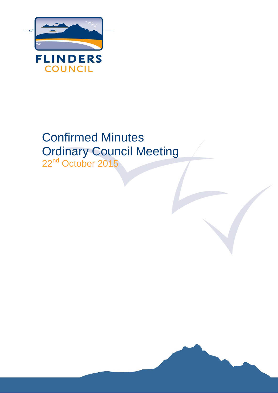

# Confirmed Minutes Ordinary Council Meeting

22<sup>nd</sup> October 2015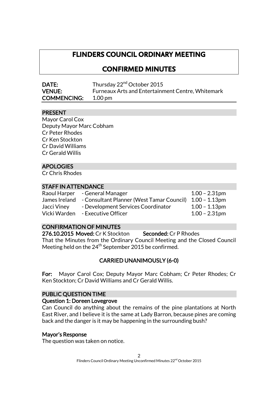# **FLINDERS COUNCIL ORDINARY MEETING**

# **CONFIRMED MINUTES**

| DATE:              | Thursday 22 <sup>nd</sup> October 2015                   |
|--------------------|----------------------------------------------------------|
| <b>VENUE:</b>      | <b>Furneaux Arts and Entertainment Centre, Whitemark</b> |
| <b>COMMENCING:</b> | 1.00 pm                                                  |

## PRESENT

Mayor Carol Cox Deputy Mayor Marc Cobham Cr Peter Rhodes Cr Ken Stockton Cr David Williams Cr Gerald Willis

# APOLOGIES

Cr Chris Rhodes

#### STAFF IN ATTENDANCE

| Raoul Harper  | - General Manager                                       | $1.00 - 2.31$ pm |
|---------------|---------------------------------------------------------|------------------|
| James Ireland | - Consultant Planner (West Tamar Council) 1.00 - 1.13pm |                  |
| Jacci Viney   | - Development Services Coordinator                      | $1.00 - 1.13$ pm |
| Vicki Warden  | - Executive Officer                                     | $1.00 - 2.31$ pm |

# CONFIRMATION OF MINUTES

276.10.2015 Moved: Cr K Stockton Seconded: Cr P Rhodes That the Minutes from the Ordinary Council Meeting and the Closed Council Meeting held on the 24<sup>th</sup> September 2015 be confirmed.

# CARRIED UNANIMOUSLY (6-0)

For: Mayor Carol Cox; Deputy Mayor Marc Cobham; Cr Peter Rhodes; Cr Ken Stockton; Cr David Williams and Cr Gerald Willis.

## PUBLIC QUESTION TIME

#### Question 1: Doreen Lovegrove

Can Council do anything about the remains of the pine plantations at North East River, and I believe it is the same at Lady Barron, because pines are coming back and the danger is it may be happening in the surrounding bush?

## Mayor's Response

The question was taken on notice.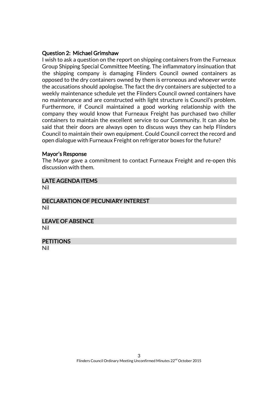#### Question 2: Michael Grimshaw

I wish to ask a question on the report on shipping containers from the Furneaux Group Shipping Special Committee Meeting. The inflammatory insinuation that the shipping company is damaging Flinders Council owned containers as opposed to the dry containers owned by them is erroneous and whoever wrote the accusations should apologise. The fact the dry containers are subjected to a weekly maintenance schedule yet the Flinders Council owned containers have no maintenance and are constructed with light structure is Council's problem. Furthermore, if Council maintained a good working relationship with the company they would know that Furneaux Freight has purchased two chiller containers to maintain the excellent service to our Community. It can also be said that their doors are always open to discuss ways they can help Flinders Council to maintain their own equipment. Could Council correct the record and open dialogue with Furneaux Freight on refrigerator boxes for the future?

#### Mayor's Response

The Mayor gave a commitment to contact Furneaux Freight and re-open this discussion with them.

# LATE AGENDA ITEMS

Nil

#### DECLARATION OF PECUNIARY INTEREST Nil

LEAVE OF ABSENCE Nil

#### **PETITIONS**

Nil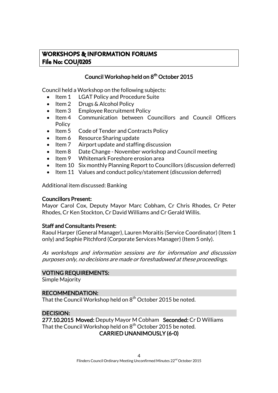# **WORKSHOPS & INFORMATION FORUMS File No: COU/0205**

## Council Workshop held on 8<sup>th</sup> October 2015

Council held a Workshop on the following subjects:

- Item 1 LGAT Policy and Procedure Suite
- Item 2 Drugs & Alcohol Policy
- Item 3 Employee Recruitment Policy
- Item 4 Communication between Councillors and Council Officers **Policy**
- Item 5 Code of Tender and Contracts Policy
- Item 6 Resource Sharing update
- Item 7 Airport update and staffing discussion
- Item 8 Date Change November workshop and Council meeting
- Item 9 Whitemark Foreshore erosion area
- Item 10 Six monthly Planning Report to Councillors (discussion deferred)
- Item 11 Values and conduct policy/statement (discussion deferred)

Additional item discussed: Banking

#### Councillors Present:

Mayor Carol Cox, Deputy Mayor Marc Cobham, Cr Chris Rhodes, Cr Peter Rhodes, Cr Ken Stockton, Cr David Williams and Cr Gerald Willis.

#### Staff and Consultants Present:

Raoul Harper (General Manager), Lauren Moraitis (Service Coordinator) (Item 1 only) and Sophie Pitchford (Corporate Services Manager) (Item 5 only).

As workshops and information sessions are for information and discussion purposes only, no decisions are made or foreshadowed at these proceedings.

#### VOTING REQUIREMENTS:

Simple Majority

#### RECOMMENDATION:

That the Council Workshop held on  $8^{\text{th}}$  October 2015 be noted.

#### DECISION:

277.10.2015 Moved: Deputy Mayor M Cobham Seconded: Cr D Williams That the Council Workshop held on  $8^{\text{th}}$  October 2015 be noted. CARRIED UNANIMOUSLY (6-0)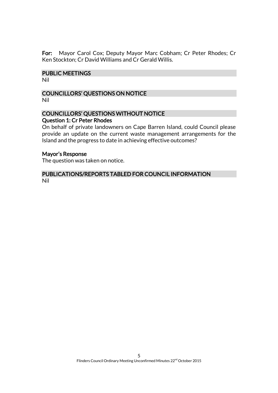For: Mayor Carol Cox; Deputy Mayor Marc Cobham; Cr Peter Rhodes; Cr Ken Stockton; Cr David Williams and Cr Gerald Willis.

#### PUBLIC MEETINGS

Nil

#### COUNCILLORS' QUESTIONS ON NOTICE Nil

#### COUNCILLORS' QUESTIONS WITHOUT NOTICE Question 1: Cr Peter Rhodes

On behalf of private landowners on Cape Barren Island, could Council please provide an update on the current waste management arrangements for the Island and the progress to date in achieving effective outcomes?

#### Mayor's Response

The question was taken on notice.

#### PUBLICATIONS/REPORTS TABLED FOR COUNCIL INFORMATION Nil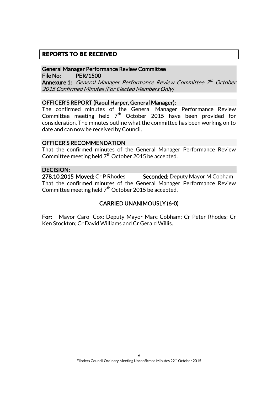## **REPORTS TO BE RECEIVED**

#### General Manager Performance Review Committee File No: PER/1500

**Annexure 1:** General Manager Performance Review Committee 7th October 2015 Confirmed Minutes (For Elected Members Only)

#### OFFICER'S REPORT (Raoul Harper, General Manager):

The confirmed minutes of the General Manager Performance Review Committee meeting held 7<sup>th</sup> October 2015 have been provided for consideration. The minutes outline what the committee has been working on to date and can now be received by Council.

#### OFFICER'S RECOMMENDATION

That the confirmed minutes of the General Manager Performance Review Committee meeting held  $7^{\text{th}}$  October 2015 be accepted.

#### DECISION:

278.10.2015 Moved: Cr P Rhodes Seconded: Deputy Mayor M Cobham That the confirmed minutes of the General Manager Performance Review Committee meeting held  $7^{\text{th}}$  October 2015 be accepted.

## CARRIED UNANIMOUSLY (6-0)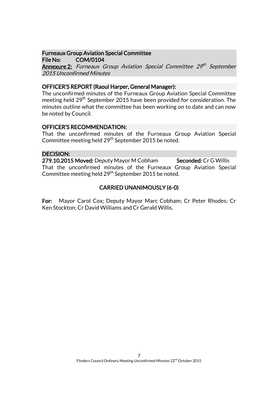# Furneaux Group Aviation Special Committee

File No: COM/0104 **Annexure 2:** Furneaux Group Aviation Special Committee 29th September 2015 Unconfirmed Minutes

## OFFICER'S REPORT (Raoul Harper, General Manager):

The unconfirmed minutes of the Furneaux Group Aviation Special Committee meeting held 29<sup>th</sup> September 2015 have been provided for consideration. The minutes outline what the committee has been working on to date and can now be noted by Council.

## OFFICER'S RECOMMENDATION:

That the unconfirmed minutes of the Furneaux Group Aviation Special Committee meeting held 29<sup>th</sup> September 2015 be noted.

## DECISION:

279.10.2015 Moved: Deputy Mayor M Cobham Seconded: Cr G Willis That the unconfirmed minutes of the Furneaux Group Aviation Special Committee meeting held 29<sup>th</sup> September 2015 be noted.

# CARRIED UNANIMOUSLY (6-0)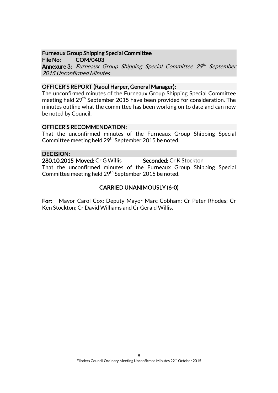#### Furneaux Group Shipping Special Committee File No: COM/0403

**Annexure 3:** Furneaux Group Shipping Special Committee 29th September 2015 Unconfirmed Minutes

## OFFICER'S REPORT (Raoul Harper, General Manager):

The unconfirmed minutes of the Furneaux Group Shipping Special Committee meeting held 29<sup>th</sup> September 2015 have been provided for consideration. The minutes outline what the committee has been working on to date and can now be noted by Council.

#### OFFICER'S RECOMMENDATION:

That the unconfirmed minutes of the Furneaux Group Shipping Special Committee meeting held 29<sup>th</sup> September 2015 be noted.

#### DECISION:

280.10.2015 Moved: Cr G Willis Seconded: Cr K Stockton That the unconfirmed minutes of the Furneaux Group Shipping Special Committee meeting held 29<sup>th</sup> September 2015 be noted.

# CARRIED UNANIMOUSLY (6-0)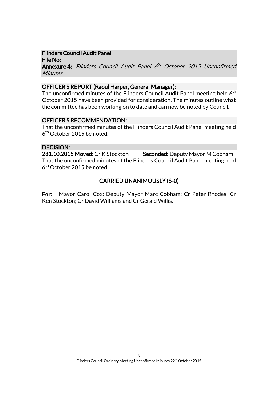## Flinders Council Audit Panel

File No: Annexure 4: Flinders Council Audit Panel 6<sup>th</sup> October 2015 Unconfirmed **Minutes** 

#### OFFICER'S REPORT (Raoul Harper, General Manager):

The unconfirmed minutes of the Flinders Council Audit Panel meeting held  $\boldsymbol{6}^{\text{th}}$ October 2015 have been provided for consideration. The minutes outline what the committee has been working on to date and can now be noted by Council.

#### OFFICER'S RECOMMENDATION:

That the unconfirmed minutes of the Flinders Council Audit Panel meeting held  $6^{\text{th}}$  October 2015 be noted.

#### DECISION:

281.10.2015 Moved: Cr K Stockton Seconded: Deputy Mayor M Cobham That the unconfirmed minutes of the Flinders Council Audit Panel meeting held  $6^{\text{th}}$  October 2015 be noted.

## CARRIED UNANIMOUSLY (6-0)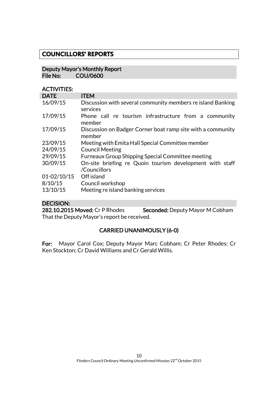# **COUNCILLORS' REPORTS**

#### Deputy Mayor's Monthly Report<br>File No: COU/0600 COU/0600

## ACTIVITIES:

| <b>DATE</b>     | <b>ITEM</b>                                                             |  |
|-----------------|-------------------------------------------------------------------------|--|
| 16/09/15        | Discussion with several community members re island Banking<br>services |  |
| 17/09/15        | Phone call re tourism infrastructure from a community<br>member         |  |
| 17/09/15        | Discussion on Badger Corner boat ramp site with a community<br>member   |  |
| 23/09/15        | Meeting with Emita Hall Special Committee member                        |  |
| 24/09/15        | <b>Council Meeting</b>                                                  |  |
| 29/09/15        | <b>Furneaux Group Shipping Special Committee meeting</b>                |  |
| 30/09/15        | On-site briefing re Quoin tourism development with staff                |  |
|                 | /Councillors                                                            |  |
| $01 - 02/10/15$ | Off island                                                              |  |
| 8/10/15         | Council workshop                                                        |  |
| 13/10/15        | Meeting re island banking services                                      |  |

# DECISION:

282.10.2015 Moved: Cr P Rhodes Seconded: Deputy Mayor M Cobham That the Deputy Mayor's report be received.

# CARRIED UNANIMOUSLY (6-0)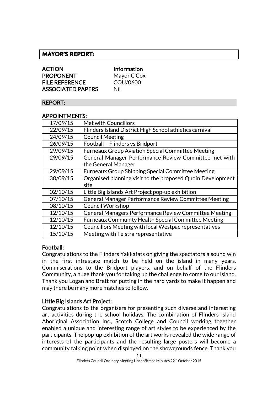# **MAYOR'S REPORT:**

| <b>ACTION</b>            | Inf |
|--------------------------|-----|
| <b>PROPONENT</b>         | Ma  |
| <b>FILE REFERENCE</b>    | CC  |
| <b>ASSOCIATED PAPERS</b> | Nil |

nformation Aayor C Cox  $C<sub>1</sub>$ OU/0600

#### REPORT:

#### APPOINTMENTS:

| 17/09/15 | Met with Councillors                                       |
|----------|------------------------------------------------------------|
| 22/09/15 | Flinders Island District High School athletics carnival    |
| 24/09/15 | <b>Council Meeting</b>                                     |
| 26/09/15 | Football - Flinders vs Bridport                            |
| 29/09/15 | <b>Furneaux Group Aviation Special Committee Meeting</b>   |
| 29/09/15 | General Manager Performance Review Committee met with      |
|          | the General Manager                                        |
| 29/09/15 | <b>Furneaux Group Shipping Special Committee Meeting</b>   |
| 30/09/15 | Organised planning visit to the proposed Quoin Development |
|          | site                                                       |
| 02/10/15 | Little Big Islands Art Project pop-up exhibition           |
| 07/10/15 | General Manager Performance Review Committee Meeting       |
| 08/10/15 | <b>Council Workshop</b>                                    |
| 12/10/15 | General Managers Performance Review Committee Meeting      |
| 12/10/15 | <b>Furneaux Community Health Special Committee Meeting</b> |
| 12/10/15 | Councillors Meeting with local Westpac representatives     |
| 15/10/15 | Meeting with Telstra representative                        |

## Football:

Congratulations to the Flinders Yakkafats on giving the spectators a sound win in the first intrastate match to be held on the island in many years. Commiserations to the Bridport players, and on behalf of the Flinders Community, a huge thank you for taking up the challenge to come to our Island. Thank you Logan and Brett for putting in the hard yards to make it happen and may there be many more matches to follow.

#### Little Big Islands Art Project:

Congratulations to the organisers for presenting such diverse and interesting art activities during the school holidays. The combination of Flinders Island Aboriginal Association Inc., Scotch College and Council working together enabled a unique and interesting range of art styles to be experienced by the participants. The pop-up exhibition of the art works revealed the wide range of interests of the participants and the resulting large posters will become a community talking point when displayed on the showgrounds fence. Thank you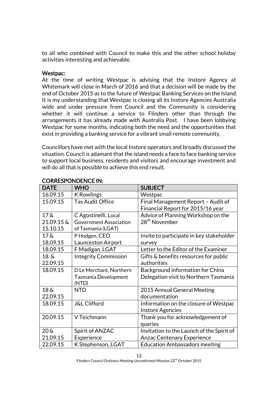to all who combined with Council to make this and the other school holiday activities interesting and achievable.

#### Westpac:

At the time of writing Westpac is advising that the Instore Agency at Whitemark will close in March of 2016 and that a decision will be made by the end of October 2015 as to the future of Westpac Banking Services on the Island. It is my understanding that Westpac is closing all its Instore Agencies Australia wide and under pressure from Council and the Community is considering whether it will continue a service to Flinders other than through the arrangements it has already made with Australia Post. I have been lobbying Westpac for some months, indicating both the need and the opportunities that exist in providing a banking service for a vibrant small remote community.

Councillors have met with the local Instore operators and broadly discussed the situation. Council is adamant that the island needs a face to face banking service to support local business, residents and visitors and encourage investment and will do all that is possible to achieve this end result.

| <b>DATE</b>        | <b>WHO</b>                    | <b>SUBJECT</b>                            |
|--------------------|-------------------------------|-------------------------------------------|
| 16.09.15           | <b>K</b> Rowlings             | Westpac                                   |
| 15.09.15           | <b>Tas Audit Office</b>       | Final Management Report - Audit of        |
|                    |                               | Financial Report for 2015/16 year         |
| $17\,\mathrm{\AA}$ | C Agostinelli, Local          | Advice of Planning Workshop on the        |
| 21.09.15 &         | <b>Government Association</b> | 28 <sup>th</sup> November                 |
| 15.10.15           | of Tasmania (LGAT)            |                                           |
| $17\,\mathrm{\AA}$ | P Hodgen, CEO                 | Invite to participate in key stakeholder  |
| 18.09.15           | Launceston Airport            | survey                                    |
| 18.09.15           | F Madigan, LGAT               | Letter to the Editor of the Examiner      |
| $18\&$             | <b>Integrity Commission</b>   | Gifts & benefits resources for public     |
| 22.09.15           |                               | authorities                               |
| 18.09.15           | D Le Merchant, Northern       | Background information for China          |
|                    | Tasmania Development          | Delegation visit to Northern Tasmania     |
|                    | (NTD)                         |                                           |
| 18 <sub>6</sub>    | <b>NTD</b>                    | 2015 Annual General Meeting               |
| 22.09.15           |                               | documentation                             |
| 18.09.15           | <b>J&amp;L Clifford</b>       | Information on the closure of Westpac     |
|                    |                               | <b>Instore Agencies</b>                   |
| 20.09.15           | V Teichmann                   | Thank you for acknowledgement of          |
|                    |                               | queries                                   |
| $20\,\mathrm{\AA}$ | Spirit of ANZAC               | Invitation to the Launch of the Spirit of |
| 21.09.15           | Experience                    | <b>Anzac Centenary Experience</b>         |
| 22.09.15           | K Stephenson, LGAT            | <b>Education Ambassadors meeting</b>      |

# CORRESPONDENCE IN: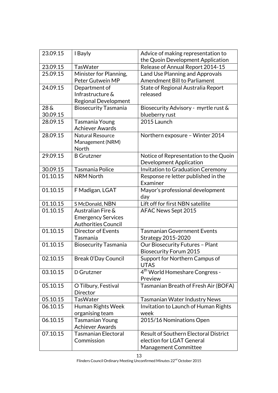| 23.09.15                    | I Bayly                                                                      | Advice of making representation to<br>the Quoin Development Application                           |
|-----------------------------|------------------------------------------------------------------------------|---------------------------------------------------------------------------------------------------|
| 23.09.15                    | <b>TasWater</b>                                                              | Release of Annual Report 2014-15                                                                  |
| 25.09.15                    | Minister for Planning,<br>Peter Gutwein MP                                   | Land Use Planning and Approvals<br><b>Amendment Bill to Parliament</b>                            |
| 24.09.15                    | Department of<br>Infrastructure &<br>Regional Development                    | State of Regional Australia Report<br>released                                                    |
| 28 <sub>6</sub><br>30.09.15 | <b>Biosecurity Tasmania</b>                                                  | Biosecurity Advisory - myrtle rust &<br>blueberry rust                                            |
| 28.09.15                    | Tasmania Young<br><b>Achiever Awards</b>                                     | 2015 Launch                                                                                       |
| 28.09.15                    | <b>Natural Resource</b><br>Management (NRM)<br>North                         | Northern exposure - Winter 2014                                                                   |
| 29.09.15                    | <b>B</b> Grutzner                                                            | Notice of Representation to the Quoin<br><b>Development Application</b>                           |
| 30.09.15                    | Tasmania Police                                                              | Invitation to Graduation Ceremony                                                                 |
| 01.10.15                    | <b>NRM North</b>                                                             | Response re letter published in the<br>Examiner                                                   |
| 01.10.15                    | F Madigan, LGAT                                                              | Mayor's professional development<br>day                                                           |
| 01.10.15                    | S McDonald, NBN                                                              | Lift off for first NBN satellite                                                                  |
| 01.10.15                    | Australian Fire &<br><b>Emergency Services</b><br><b>Authorities Council</b> | AFAC News Sept 2015                                                                               |
| 01.10.15                    | <b>Director of Events</b><br>Tasmania                                        | <b>Tasmanian Government Events</b><br>Strategy 2015-2020                                          |
| 01.10.15                    | <b>Biosecurity Tasmania</b>                                                  | Our Biosecurity Futures - Plant<br><b>Biosecurity Forum 2015</b>                                  |
| 02.10.15                    | Break O'Day Council                                                          | Support for Northern Campus of<br><b>UTAS</b>                                                     |
| 03.10.15                    | D Grutzner                                                                   | 4 <sup>th</sup> World Homeshare Congress -<br>Preview                                             |
| 05.10.15                    | O Tilbury, Festival<br>Director                                              | Tasmanian Breath of Fresh Air (BOFA)                                                              |
| 05.10.15                    | <b>TasWater</b>                                                              | <b>Tasmanian Water Industry News</b>                                                              |
| 06.10.15                    | Human Rights Week<br>organising team                                         | Invitation to Launch of Human Rights<br>week                                                      |
| 06.10.15                    | <b>Tasmanian Young</b><br><b>Achiever Awards</b>                             | 2015/16 Nominations Open                                                                          |
| 07.10.15                    | <b>Tasmanian Electoral</b><br>Commission                                     | <b>Result of Southern Electoral District</b><br>election for LGAT General<br>Management Committee |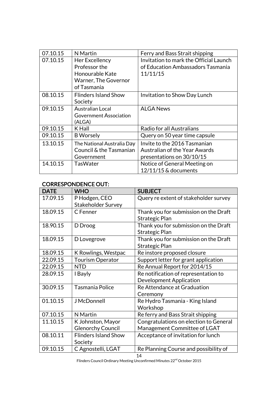| 07.10.15 | N Martin                      | Ferry and Bass Strait shipping         |
|----------|-------------------------------|----------------------------------------|
| 07.10.15 | Her Excellency                | Invitation to mark the Official Launch |
|          | Professor the                 | of Education Ambassadors Tasmania      |
|          | Honourable Kate               | 11/11/15                               |
|          | Warner, The Governor          |                                        |
|          | of Tasmania                   |                                        |
| 08.10.15 | <b>Flinders Island Show</b>   | Invitation to Show Day Lunch           |
|          | Society                       |                                        |
| 09.10.15 | <b>Australian Local</b>       | <b>ALGA News</b>                       |
|          | <b>Government Association</b> |                                        |
|          | (ALGA)                        |                                        |
| 09.10.15 | K Hall                        | Radio for all Australians              |
| 09.10.15 | <b>B</b> Worsely              | Query on 50 year time capsule          |
| 13.10.15 | The National Australia Day    | Invite to the 2016 Tasmanian           |
|          | Council & the Tasmanian       | <b>Australian of the Year Awards</b>   |
|          | Government                    | presentations on 30/10/15              |
| 14.10.15 | TasWater                      | Notice of General Meeting on           |
|          |                               | 12/11/15 & documents                   |

## CORRESPONDENCE OUT:

| <b>DATE</b> | <b>WHO</b>                  | <b>SUBJECT</b>                         |
|-------------|-----------------------------|----------------------------------------|
| 17.09.15    | P Hodgen, CEO               | Query re extent of stakeholder survey  |
|             | <b>Stakeholder Survey</b>   |                                        |
| 18.09.15    | C Fenner                    | Thank you for submission on the Draft  |
|             |                             | Strategic Plan                         |
| 18.90.15    | D Droog                     | Thank you for submission on the Draft  |
|             |                             | Strategic Plan                         |
| 18.09.15    | D Lovegrove                 | Thank you for submission on the Draft  |
|             |                             | Strategic Plan                         |
| 18.09.15    | K Rowlings, Westpac         | Re instore proposed closure            |
| 22.09.15    | <b>Tourism Operator</b>     | Support letter for grant application   |
| 22.09.15    | <b>NTD</b>                  | Re Annual Report for 2014/15           |
| 28.09.15    | I Bayly                     | Re notification of representation to   |
|             |                             | Development Application                |
| 30.09.15    | Tasmania Police             | Re Attendance at Graduation            |
|             |                             | Ceremony                               |
| 01.10.15    | <b>J</b> McDonnell          | Re Hydro Tasmania - King Island        |
|             |                             | Workshop                               |
| 07.10.15    | N Martin                    | Re ferry and Bass Strait shipping      |
| 11.10.15    | K Johnston, Mayor           | Congratulations on election to General |
|             | <b>Glenorchy Council</b>    | Management Committee of LGAT           |
| 08.10.11    | <b>Flinders Island Show</b> | Acceptance of invitation for lunch     |
|             | Society                     |                                        |
| 09.10.15    | C Agnostelli, LGAT          | Re Planning Course and possibility of  |

14 Flinders Council Ordinary Meeting Unconfirmed Minutes 22<sup>nd</sup> October 2015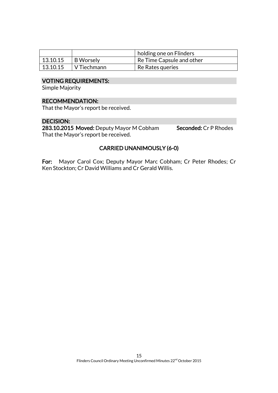|          |                  | holding one on Flinders   |
|----------|------------------|---------------------------|
| 13.10.15 | <b>B</b> Worsely | Re Time Capsule and other |
| 13.10.15 | V Tiechmann      | Re Rates queries          |

#### VOTING REQUIREMENTS:

Simple Majority

#### RECOMMENDATION:

That the Mayor's report be received.

## DECISION:

283.10.2015 Moved: Deputy Mayor M Cobham Seconded: Cr P Rhodes That the Mayor's report be received.

# CARRIED UNANIMOUSLY (6-0)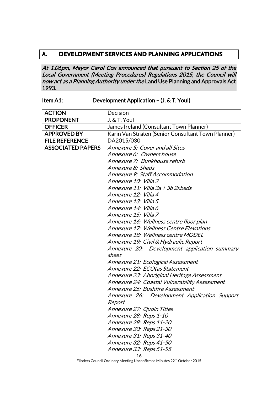# **A. DEVELOPMENT SERVICES AND PLANNING APPLICATIONS**

At 1.06pm, Mayor Carol Cox announced that pursuant to Section 25 of the Local Government (Meeting Procedures) Regulations 2015, the Council will now act as a Planning Authority under the Land Use Planning and Approvals Act 1993.

| Item A1: | Development Application - (J. & T. Youl) |
|----------|------------------------------------------|
|----------|------------------------------------------|

| <b>ACTION</b>            | Decision                                           |
|--------------------------|----------------------------------------------------|
| <b>PROPONENT</b>         | J. & T. Youl                                       |
| <b>OFFICER</b>           | James Ireland (Consultant Town Planner)            |
| <b>APPROVED BY</b>       | Karin Van Straten (Senior Consultant Town Planner) |
| <b>FILE REFERENCE</b>    | DA2015/030                                         |
| <b>ASSOCIATED PAPERS</b> | Annexure 5: Cover and all Sites                    |
|                          | Annexure 6: Owners house                           |
|                          | Annexure 7: Bunkhouse refurb                       |
|                          | Annexure 8: Sheds                                  |
|                          | Annexure 9: Staff Accommodation                    |
|                          | Annexure 10: Villa 2                               |
|                          | Annexure 11: Villa 3a + 3b 2xbeds                  |
|                          | Annexure 12: Villa 4                               |
|                          | Annexure 13: Villa 5                               |
|                          | Annexure 14: Villa 6                               |
|                          | Annexure 15: Villa 7                               |
|                          | Annexure 16: Wellness centre floor plan            |
|                          | <i>Annexure 17: Wellness Centre Elevations</i>     |
|                          | Annexure 18: Wellness centre MODEL                 |
|                          | Annexure 19: Civil & Hydraulic Report              |
|                          | Annexure 20: Development application summary       |
|                          | sheet                                              |
|                          | Annexure 21: Ecological Assessment                 |
|                          | Annexure 22: ECOtas Statement                      |
|                          | Annexure 23: Aboriginal Heritage Assessment        |
|                          | Annexure 24: Coastal Vulnerability Assessment      |
|                          | Annexure 25: Bushfire Assessment                   |
|                          | Annexure 26: Development Application Support       |
|                          | Report                                             |
|                          | Annexure 27: Quoin Titles                          |
|                          | <i>Annexure 28: Reps 1-10</i>                      |
|                          | Annexure 29: Reps 11-20                            |
|                          | Annexure 30: Reps 21-30                            |
|                          | Annexure 31: Reps 31-40                            |
|                          | Annexure 32: Reps 41-50                            |
|                          | Annexure 33: Reps 51-55                            |

Flinders Council Ordinary Meeting Unconfirmed Minutes 22<sup>nd</sup> October 2015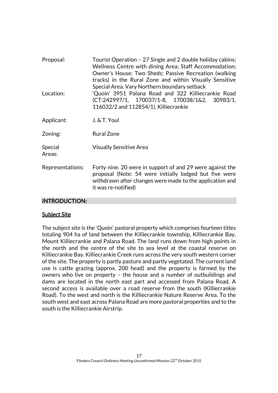| Proposal:         | Tourist Operation - 27 Single and 2 double holiday cabins;<br>Wellness Centre with dining Area; Staff Accommodation;<br>Owner's House; Two Sheds; Passive Recreation (walking<br>tracks) in the Rural Zone and within Visually Sensitive<br>Special Area. Vary Northern boundary setback |
|-------------------|------------------------------------------------------------------------------------------------------------------------------------------------------------------------------------------------------------------------------------------------------------------------------------------|
| Location:         | 'Quoin' 3951 Palana Road and 322 Killiecrankie Road<br>(CT:242997/1, 170037/1-8, 170038/1&2, 30983/1,<br>116032/2 and 112854/1), Killiecrankie                                                                                                                                           |
| Applicant:        | J. & T. Youl                                                                                                                                                                                                                                                                             |
| Zoning:           | <b>Rural Zone</b>                                                                                                                                                                                                                                                                        |
| Special<br>Areas: | <b>Visually Sensitive Area</b>                                                                                                                                                                                                                                                           |
| Representations:  | Forty nine. 20 were in support of and 29 were against the<br>proposal (Note: 54 were initially lodged but five were<br>withdrawn after changes were made to the application and<br>it was re-notified)                                                                                   |

# INTRODUCTION:

#### Subject Site

The subject site is the 'Quoin' pastoral property which comprises fourteen titles totaling 904 ha of land between the Killiecrankie township, Killiecrankie Bay, Mount Killiecrankie and Palana Road. The land runs down from high points in the north and the centre of the site to sea level at the coastal reserve on Killiecrankie Bay. Killiecrankie Creek runs across the very south western corner of the site. The property is partly pasture and partly vegetated. The current land use is cattle grazing (approx. 200 head) and the property is farmed by the owners who live on property – the house and a number of outbuildings and dams are located in the north east part and accessed from Palana Road. A second access is available over a road reserve from the south (Killiecrankie Road). To the west and north is the Killiecrankie Nature Reserve Area. To the south west and east across Palana Road are more pastoral properties and to the south is the Killiecrankie Airstrip.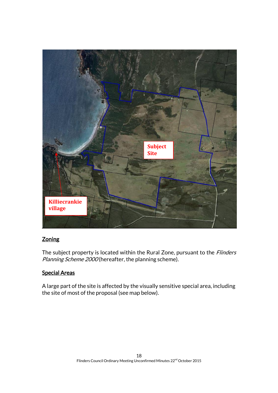

# **Zoning**

The subject property is located within the Rural Zone, pursuant to the *Flinders* Planning Scheme 2000 (hereafter, the planning scheme).

# Special Areas

A large part of the site is affected by the visually sensitive special area, including the site of most of the proposal (see map below).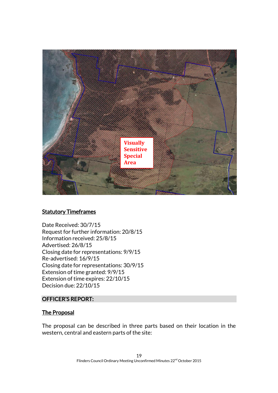

# **Statutory Timeframes**

Date Received: 30/7/15 Request for further information: 20/8/15 Information received: 25/8/15 Advertised: 26/8/15 Closing date for representations: 9/9/15 Re-advertised: 16/9/15 Closing date for representations: 30/9/15 Extension of time granted: 9/9/15 Extension of time expires: 22/10/15 Decision due: 22/10/15

#### OFFICER'S REPORT:

#### The Proposal

The proposal can be described in three parts based on their location in the western, central and eastern parts of the site: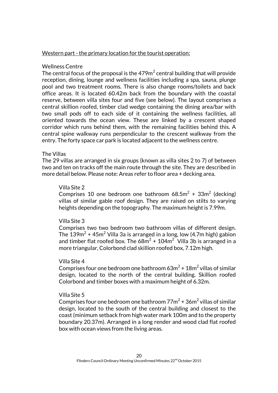#### Western part - the primary location for the tourist operation:

#### Wellness Centre

The central focus of the proposal is the 479 $\mathrm{m}^2$  central building that will provide reception, dining, lounge and wellness facilities including a spa, sauna, plunge pool and two treatment rooms. There is also change rooms/toilets and back office areas. It is located 60.42m back from the boundary with the coastal reserve, between villa sites four and five (see below). The layout comprises a central skillion roofed, timber clad wedge containing the dining area/bar with two small pods off to each side of it containing the wellness facilities, all oriented towards the ocean view. These are linked by a crescent shaped corridor which runs behind them, with the remaining facilities behind this. A central spine walkway runs perpendicular to the crescent walkway from the entry. The forty space car park is located adjacent to the wellness centre.

#### The Villas

The 29 villas are arranged in six groups (known as villa sites 2 to 7) of between two and ten on tracks off the main route through the site. They are described in more detail below. Please note: Areas refer to floor area + decking area.

#### Villa Site 2

Comprises 10 one bedroom one bathroom 68.5m<sup>2</sup> + 33m<sup>2</sup> (decking) villas of similar gable roof design. They are raised on stilts to varying heights depending on the topography. The maximum height is 7.99m.

#### Villa Site 3

Comprises two two bedroom two bathroom villas of different design. The 139 $\mathrm{m}^2$  + 45 $\mathrm{m}^2$  Villa 3a is arranged in a long, low (4.7 $\mathrm{m}$  high) gabion and timber flat roofed box. The 68 $\mathrm{m}^2$  + 104 $\mathrm{m}^2$  Villa 3b is arranged in a more triangular, Colorbond clad skillion roofed box, 7.12m high.

#### Villa Site 4

Comprises four one bedroom one bathroom 63 $\mathrm{m}^2$  + 18 $\mathrm{m}^2$  villas of similar design, located to the north of the central building. Skillion roofed Colorbond and timber boxes with a maximum height of 6.32m.

#### Villa Site 5

Comprises four one bedroom one bathroom 77 $m^2$  + 36 $m^2$  villas of similar design, located to the south of the central building and closest to the coast (minimum setback from high water mark 100m and to the property boundary 20.37m). Arranged in a long render and wood clad flat roofed box with ocean views from the living areas.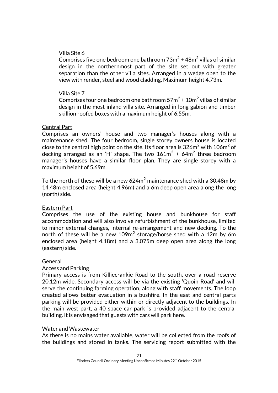#### Villa Site 6

Comprises five one bedroom one bathroom 73 $m^2$  + 48 $m^2$  villas of similar design in the northernmost part of the site set out with greater separation than the other villa sites. Arranged in a wedge open to the view with render, steel and wood cladding. Maximum height 4.73m.

#### Villa Site 7

Comprises four one bedroom one bathroom 57 $m^2$  + 10 $m^2$  villas of similar design in the most inland villa site. Arranged in long gabion and timber skillion roofed boxes with a maximum height of 6.55m.

#### Central Part

Comprises an owners' house and two manager's houses along with a maintenance shed. The four bedroom, single storey owners house is located close to the central high point on the site. Its floor area is 326m $^2$  with 106m $^2$  of decking arranged as an 'H' shape. The two  $161\text{m}^2$  +  $64\text{m}^2$  three bedroom manager's houses have a similar floor plan. They are single storey with a maximum height of 5.69m.

To the north of these will be a new  $624m^2$  maintenance shed with a 30.48m by 14.48m enclosed area (height 4.96m) and a 6m deep open area along the long (north) side.

#### Eastern Part

Comprises the use of the existing house and bunkhouse for staff accommodation and will also involve refurbishment of the bunkhouse, limited to minor external changes, internal re-arrangement and new decking. To the north of these will be a new  $109\mathsf{m}^2$  storage/horse shed with a  $12\mathsf{m}$  by 6 $\mathsf{m}$ enclosed area (height 4.18m) and a 3.075m deep open area along the long (eastern) side.

#### General

#### Access and Parking

Primary access is from Killiecrankie Road to the south, over a road reserve 20.12m wide. Secondary access will be via the existing 'Quoin Road' and will serve the continuing farming operation, along with staff movements. The loop created allows better evacuation in a bushfire. In the east and central parts parking will be provided either within or directly adjacent to the buildings. In the main west part, a 40 space car park is provided adjacent to the central building. It is envisaged that guests with cars will park here.

#### Water and Wastewater

As there is no mains water available, water will be collected from the roofs of the buildings and stored in tanks. The servicing report submitted with the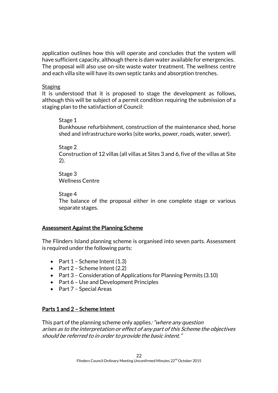application outlines how this will operate and concludes that the system will have sufficient capacity, although there is dam water available for emergencies. The proposal will also use on-site waste water treatment. The wellness centre and each villa site will have its own septic tanks and absorption trenches.

#### **Staging**

It is understood that it is proposed to stage the development as follows, although this will be subject of a permit condition requiring the submission of a staging plan to the satisfaction of Council:

#### Stage 1

Bunkhouse refurbishment, construction of the maintenance shed, horse shed and infrastructure works (site works, power, roads, water, sewer).

#### Stage 2

Construction of 12 villas (all villas at Sites 3 and 6, five of the villas at Site 2).

Stage 3 Wellness Centre

#### Stage 4

The balance of the proposal either in one complete stage or various separate stages.

## Assessment Against the Planning Scheme

The Flinders Island planning scheme is organised into seven parts. Assessment is required under the following parts:

- Part  $1$  Scheme Intent  $(1.3)$
- Part  $2$  Scheme Intent (2.2)
- Part 3 Consideration of Applications for Planning Permits (3.10)
- Part 6 Use and Development Principles
- Part  $7$  Special Areas

# Parts 1 and 2 – Scheme Intent

This part of the planning scheme only applies: "where any question arises as to the interpretation or effect of any part of this Scheme the objectives should be referred to in order to provide the basic intent."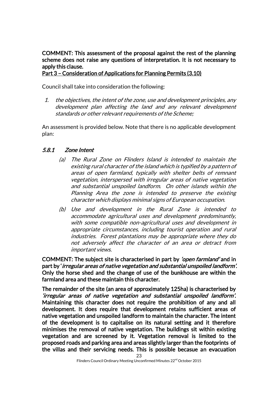COMMENT: This assessment of the proposal against the rest of the planning scheme does not raise any questions of interpretation. It is not necessary to apply this clause.

Part 3 – Consideration of Applications for Planning Permits (3.10)

Council shall take into consideration the following:

1. the objectives, the intent of the zone, use and development principles, any development plan affecting the land and any relevant development standards or other relevant requirements of the Scheme;

An assessment is provided below. Note that there is no applicable development plan:

## 5.8.1 Zone Intent

- (a) The Rural Zone on Flinders Island is intended to maintain the existing rural character of the island which is typified by a pattern of areas of open farmland, typically with shelter belts of remnant vegetation, interspersed with irregular areas of native vegetation and substantial unspoiled landform. On other islands within the Planning Area the zone is intended to preserve the existing character which displays minimal signs of European occupation.
- (b) Use and development in the Rural Zone is intended to accommodate agricultural uses and development predominantly, with some compatible non-agricultural uses and development in appropriate circumstances, including tourist operation and rural industries. Forest plantations may be appropriate where they do not adversely affect the character of an area or detract from important views.

COMMENT: The subject site is characterised in part by *'open farmland'* and in part by 'irregular areas of native vegetation and substantial unspoiled landform'. Only the horse shed and the change of use of the bunkhouse are within the farmland area and these maintain this character.

The remainder of the site (an area of approximately 125ha) is characterised by 'irregular areas of native vegetation and substantial unspoiled landform'. Maintaining this character does not require the prohibition of any and all development. It does require that development retains sufficient areas of native vegetation and unspoiled landform to maintain the character. The intent of the development is to capitalise on its natural setting and it therefore minimises the removal of native vegetation. The buildings sit within existing vegetation and are screened by it. Vegetation removal is limited to the proposed roads and parking area and areas slightly larger than the footprints of the villas and their servicing needs. This is possible becasue an evacuation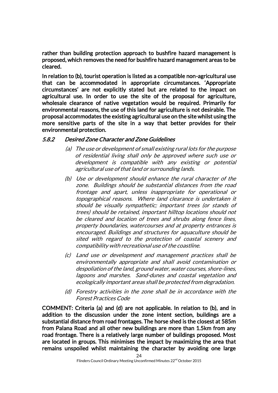rather than building protection approach to bushfire hazard management is proposed, which removes the need for bushfire hazard management areas to be cleared.

In relation to (b), tourist operation is listed as a compatible non-agricultural use that can be accommodated in appropriate circumstances. 'Appropriate circumstances' are not explicitly stated but are related to the impact on agricultural use. In order to use the site of the proposal for agriculture, wholesale clearance of native vegetation would be required. Primarily for environmental reasons, the use of this land for agriculture is not desirable. The proposal accommodates the existing agricultural use on the site whilst using the more sensitive parts of the site in a way that better provides for their environmental protection.

#### 5.8.2 Desired Zone Character and Zone Guidelines

- (a) The use or development of small existing rural lots for the purpose of residential living shall only be approved where such use or development is compatible with any existing or potential agricultural use of that land or surrounding lands.
- (b) Use or development should enhance the rural character of the zone. Buildings should be substantial distances from the road frontage and apart, unless inappropriate for operational or topographical reasons. Where land clearance is undertaken it should be visually sympathetic; important trees (or stands of trees) should be retained, important hilltop locations should not be cleared and location of trees and shrubs along fence lines, property boundaries, watercourses and at property entrances is encouraged. Buildings and structures for aquaculture should be sited with regard to the protection of coastal scenery and compatibility with recreational use of the coastline.
- (c) Land use or development and management practices shall be environmentally appropriate and shall avoid contamination or despoliation of the land, ground water, water courses, shore-lines, lagoons and marshes. Sand-dunes and coastal vegetation and ecologically important areas shall be protected from degradation.
- (d) Forestry activities in the zone shall be in accordance with the Forest Practices Code

COMMENT: Criteria (a) and (d) are not applicable. In relation to (b), and in addition to the discussion under the zone intent section, buildings are a substantial distance from road frontages. The horse shed is the closest at 585m from Palana Road and all other new buildings are more than 1.5km from any road frontage. There is a relatively large number of buildings proposed. Most are located in groups. This minimises the impact by maximizing the area that remains unspoiled whilst maintaining the character by avoiding one large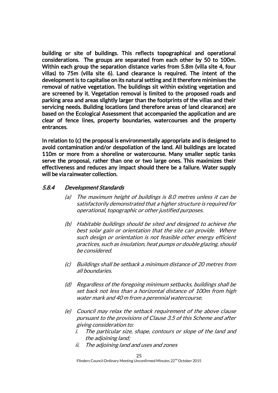building or site of buildings. This reflects topographical and operational considerations. The groups are separated from each other by 50 to 100m. Within each group the separation distance varies from 5.8m (villa site 4, four villas) to 75m (villa site 6). Land clearance is required. The intent of the development is to capitalise on its natural setting and it therefore minimises the removal of native vegetation. The buildings sit within existing vegetation and are screened by it. Vegetation removal is limited to the proposed roads and parking area and areas slightly larger than the footprints of the villas and their servicing needs. Building locations (and therefore areas of land clearance) are based on the Ecological Assessment that accompanied the application and are clear of fence lines, property boundaries, watercourses and the property entrances.

In relation to (c) the proposal is environmentally appropriate and is designed to avoid contamination and/or despoliation of the land. All buildings are located 110m or more from a shoreline or watercourse. Many smaller septic tanks serve the proposal, rather than one or two large ones. This maximizes their effectiveness and reduces any impact should there be a failure. Water supply will be via rainwater collection.

#### 5.8.4 Development Standards

- (a) The maximum height of buildings is 8.0 metres unless it can be satisfactorily demonstrated that a higher structure is required for operational, topographic or other justified purposes.
- (b) Habitable buildings should be sited and designed to achieve the best solar gain or orientation that the site can provide. Where such design or orientation is not feasible other energy efficient practices, such as insulation, heat pumps or double glazing, should be considered.
- (c) Buildings shall be setback a minimum distance of 20 metres from all boundaries.
- (d) Regardless of the foregoing minimum setbacks, buildings shall be set back not less than a horizontal distance of 100m from high water mark and 40 m from a perennial watercourse.
- (e) Council may relax the setback requirement of the above clause pursuant to the provisions of Clause 3.5 of this Scheme and after giving consideration to:
	- i. The particular size, shape, contours or slope of the land and the adjoining land;
	- ii. The adjoining land and uses and zones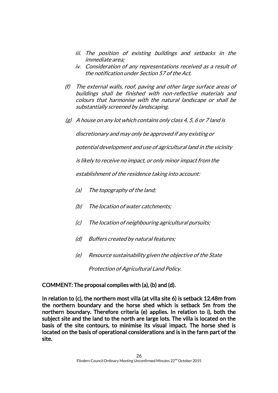- iii. The position of existing buildings and setbacks in the immediate area;
- iv. Consideration of any representations received as a result of the notification under Section 57 of the Act.
- (f) The external walls, roof, paving and other large surface areas of buildings shall be finished with non-reflective materials and colours that harmonise with the natural landscape or shall be substantially screened by landscaping.
- $(g)$  A house on any lot which contains only class 4, 5, 6 or 7 land is

discretionary and may only be approved if any existing or

potential development and use of agricultural land in the vicinity

is likely to receive no impact, or only minor impact from the

establishment of the residence taking into account:

- (a) The topography of the land;
- (b) The location of water catchments;
- (c) The location of neighbouring agricultural pursuits;
- (d) Buffers created by natural features;
- (e) Resource sustainability given the objective of the State Protection of Agricultural Land Policy.

## COMMENT: The proposal complies with (a), (b) and (d).

In relation to (c), the northern most villa (at villa site 6) is setback 12.48m from the northern boundary and the horse shed which is setback 5m from the northern boundary. Therefore criteria (e) applies. In relation to i), both the subject site and the land to the north are large lots. The villa is located on the basis of the site contours, to minimise its visual impact. The horse shed is located on the basis of operational considerations and is in the farm part of the site.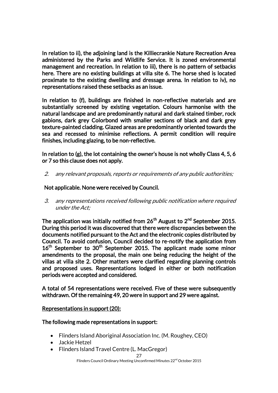In relation to ii), the adjoining land is the Killiecrankie Nature Recreation Area administered by the Parks and Wildlife Service. It is zoned environmental management and recreation. In relation to iii), there is no pattern of setbacks here. There are no existing buildings at villa site 6. The horse shed is located proximate to the existing dwelling and dressage arena. In relation to iv), no representations raised these setbacks as an issue.

In relation to (f), buildings are finished in non-reflective materials and are substantially screened by existing vegetation. Colours harmonise with the natural landscape and are predominantly natural and dark stained timber, rock gabions, dark grey Colorbond with smaller sections of black and dark grey texture-painted cladding. Glazed areas are predominantly oriented towards the sea and recessed to minimise reflections. A permit condition will require finishes, including glazing, to be non-reflective.

In relation to (g), the lot containing the owner's house is not wholly Class 4, 5, 6 or 7 so this clause does not apply.

2. any relevant proposals, reports or requirements of any public authorities;

## Not applicable. None were received by Council.

3. any representations received following public notification where required under the Act;

The application was initially notified from  $26^{\sf th}$  August to  $2^{\sf nd}$  September 2015. During this period it was discovered that there were discrepancies between the documents notified pursuant to the Act and the electronic copies distributed by Council. To avoid confusion, Council decided to re-notify the application from 16<sup>th</sup> September to 30<sup>th</sup> September 2015. The applicant made some minor amendments to the proposal, the main one being reducing the height of the villas at villa site 2. Other matters were clarified regarding planning controls and proposed uses. Representations lodged in either or both notification periods were accepted and considered.

A total of 54 representations were received. Five of these were subsequently withdrawn. Of the remaining 49, 20 were in support and 29 were against.

## Representations in support (20):

## The following made representations in support:

- Flinders Island Aboriginal Association Inc. (M. Roughey, CEO)
- Jackie Hetzel
- Flinders Island Travel Centre (L. MacGregor)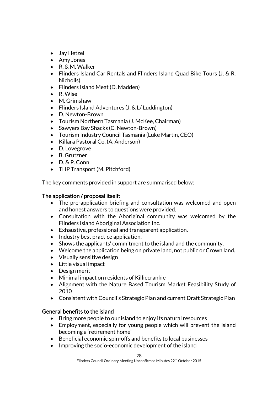- Jay Hetzel
- Amy Jones
- R. & M. Walker
- Flinders Island Car Rentals and Flinders Island Quad Bike Tours (J. & R. Nicholls)
- Flinders Island Meat (D. Madden)
- R. Wise
- M. Grimshaw
- Flinders Island Adventures (J. & L/ Luddington)
- D. Newton-Brown
- Tourism Northern Tasmania (J. McKee, Chairman)
- Sawyers Bay Shacks (C. Newton-Brown)
- Tourism Industry Council Tasmania (Luke Martin, CEO)
- Killara Pastoral Co. (A. Anderson)
- D. Lovegrove
- B. Grutzner
- D. & P. Conn
- THP Transport (M. Pitchford)

The key comments provided in support are summarised below:

## The application / proposal itself:

- The pre-application briefing and consultation was welcomed and open and honest answers to questions were provided.
- Consultation with the Aboriginal community was welcomed by the Flinders Island Aboriginal Association Inc.
- Exhaustive, professional and transparent application.
- Industry best practice application.
- Shows the applicants' commitment to the island and the community.
- Welcome the application being on private land, not public or Crown land.
- Visually sensitive design
- Little visual impact
- Design merit
- Minimal impact on residents of Killiecrankie
- Alignment with the Nature Based Tourism Market Feasibility Study of 2010
- Consistent with Council's Strategic Plan and current Draft Strategic Plan

# General benefits to the island

- Bring more people to our island to enjoy its natural resources
- Employment, especially for young people which will prevent the island becoming a 'retirement home'
- Beneficial economic spin-offs and benefits to local businesses
- Improving the socio-economic development of the island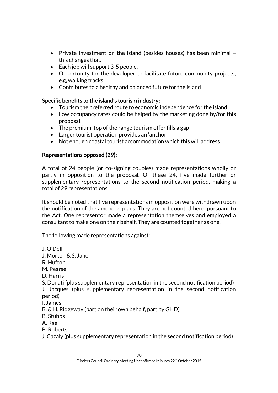- Private investment on the island (besides houses) has been minimal this changes that.
- $\bullet$  Each job will support 3-5 people.
- Opportunity for the developer to facilitate future community projects, e.g, walking tracks
- Contributes to a healthy and balanced future for the island

## Specific benefits to the island's tourism industry:

- Tourism the preferred route to economic independence for the island
- Low occupancy rates could be helped by the marketing done by/for this proposal.
- The premium, top of the range tourism offer fills a gap
- Larger tourist operation provides an 'anchor'
- Not enough coastal tourist accommodation which this will address

## Representations opposed (29):

A total of 24 people (or co-signing couples) made representations wholly or partly in opposition to the proposal. Of these 24, five made further or supplementary representations to the second notification period, making a total of 29 representations.

It should be noted that five representations in opposition were withdrawn upon the notification of the amended plans. They are not counted here, pursuant to the Act. One representor made a representation themselves and employed a consultant to make one on their behalf. They are counted together as one.

The following made representations against:

J. O'Dell J. Morton & S. Jane R. Hufton M. Pearse D. Harris S. Donati (plus supplementary representation in the second notification period) J. Jacques (plus supplementary representation in the second notification period) I. James B. & H. Ridgeway (part on their own behalf, part by GHD) B. Stubbs A. Rae B. Roberts J. Cazaly (plus supplementary representation in the second notification period)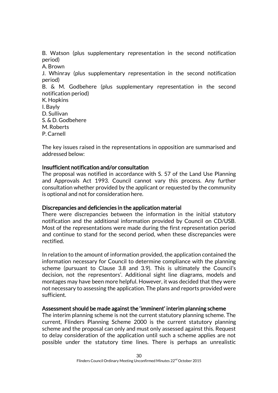B. Watson (plus supplementary representation in the second notification period)

A. Brown J. Whinray (plus supplementary representation in the second notification period) B. & M. Godbehere (plus supplementary representation in the second notification period) K. Hopkins I. Bayly D. Sullivan S. & D. Godbehere M. Roberts

P. Carnell

The key issues raised in the representations in opposition are summarised and addressed below:

#### Insufficient notification and/or consultation

The proposal was notified in accordance with S. 57 of the Land Use Planning and Approvals Act 1993. Council cannot vary this process. Any further consultation whether provided by the applicant or requested by the community is optional and not for consideration here.

## Discrepancies and deficiencies in the application material

There were discrepancies between the information in the initial statutory notification and the additional information provided by Council on CD/USB. Most of the representations were made during the first representation period and continue to stand for the second period, when these discrepancies were rectified.

In relation to the amount of information provided, the application contained the information necessary for Council to determine compliance with the planning scheme (pursuant to Clause 3.8 and 3.9). This is ultimately the Council's decision, not the representors'. Additional sight line diagrams, models and montages may have been more helpful. However, it was decided that they were not necessary to assessing the application. The plans and reports provided were sufficient.

#### Assessment should be made against the 'imminent' interim planning scheme

The interim planning scheme is not the current statutory planning scheme. The current, Flinders Planning Scheme 2000 is the current statutory planning scheme and the proposal can only and must only assessed against this. Request to delay consideration of the application until such a scheme applies are not possible under the statutory time lines. There is perhaps an unrealistic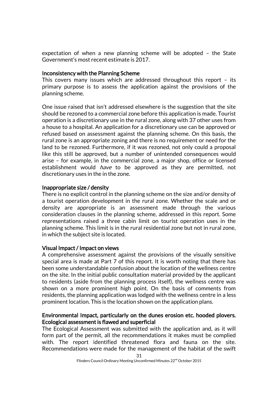expectation of when a new planning scheme will be adopted – the State Government's most recent estimate is 2017.

#### Inconsistency with the Planning Scheme

This covers many issues which are addressed throughout this report – its primary purpose is to assess the application against the provisions of the planning scheme.

One issue raised that isn't addressed elsewhere is the suggestion that the site should be rezoned to a commercial zone before this application is made. Tourist operation is a discretionary use in the rural zone, along with 37 other uses from a house to a hospital. An application for a discretionary use can be approved or refused based on assessment against the planning scheme. On this basis, the rural zone is an appropriate zoning and there is no requirement or need for the land to be rezoned. Furthermore, if it was rezoned, not only could a proposal like this still be approved, but a number of unintended consequences would arise – for example, in the commercial zone, a major shop, office or licensed establishment would *have* to be approved as they are permitted, not discretionary uses in the in the zone.

#### Inappropriate size / density

There is no explicit control in the planning scheme on the size and/or density of a tourist operation development in the rural zone. Whether the scale and or density are appropriate is an assessment made through the various consideration clauses in the planning scheme, addressed in this report. Some representations raised a three cabin limit on tourist operation uses in the planning scheme. This limit is in the rural residential zone but not in rural zone, in which the subject site is located.

#### Visual Impact / Impact on views

A comprehensive assessment against the provisions of the visually sensitive special area is made at Part 7 of this report. It is worth noting that there has been some understandable confusion about the location of the wellness centre on the site. In the initial public consultation material provided by the applicant to residents (aside from the planning process itself), the wellness centre was shown on a more prominent high point. On the basis of comments from residents, the planning application was lodged with the wellness centre in a less prominent location. This is the location shown on the application plans.

#### Environmental Impact, particularly on the dunes erosion etc. hooded plovers. Ecological assessment is flawed and superficial

The Ecological Assessment was submitted with the application and, as it will form part of the permit, all the recommendations it makes must be complied with. The report identified threatened flora and fauna on the site. Recommendations were made for the management of the habitat of the swift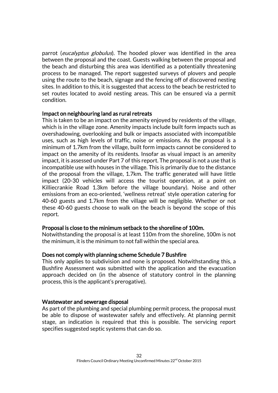parrot (eucalyptus globulus). The hooded plover was identified in the area between the proposal and the coast. Guests walking between the proposal and the beach and disturbing this area was identified as a potentially threatening process to be managed. The report suggested surveys of plovers and people using the route to the beach, signage and the fencing off of discovered nesting sites. In addition to this, it is suggested that access to the beach be restricted to set routes located to avoid nesting areas. This can be ensured via a permit condition.

#### Impact on neighbouring land as rural retreats

This is taken to be an impact on the amenity enjoyed by residents of the village, which is in the village zone. Amenity impacts include built form impacts such as overshadowing, overlooking and bulk or impacts associated with incompatible uses, such as high levels of traffic, noise or emissions. As the proposal is a minimum of 1.7km from the village, built form impacts cannot be considered to impact on the amenity of its residents. Insofar as visual impact is an amenity impact, it is assessed under Part 7 of this report. The proposal is not a use that is incompatible use with houses in the village. This is primarily due to the distance of the proposal from the village, 1.7km. The traffic generated will have little impact (20-30 vehicles will access the tourist operation, at a point on Killiecrankie Road 1.3km before the village boundary). Noise and other emissions from an eco-oriented, 'wellness retreat' style operation catering for 40-60 guests and 1.7km from the village will be negligible. Whether or not these 40-60 guests choose to walk on the beach is beyond the scope of this report.

#### Proposal is close to the minimum setback to the shoreline of 100m.

Notwithstanding the proposal is at least 110m from the shoreline, 100m is not the minimum, it is the minimum to not fall within the special area.

#### Does not comply with planning scheme Schedule 7 Bushfire

This only applies to subdivision and none is proposed. Notwithstanding this, a Bushfire Assessment was submitted with the application and the evacuation approach decided on (in the absence of statutory control in the planning process, this is the applicant's prerogative).

#### Wastewater and sewerage disposal

As part of the plumbing and special plumbing permit process, the proposal must be able to dispose of wastewater safely and effectively. At planning permit stage, an indication is required that this is possible. The servicing report specifies suggested septic systems that can do so.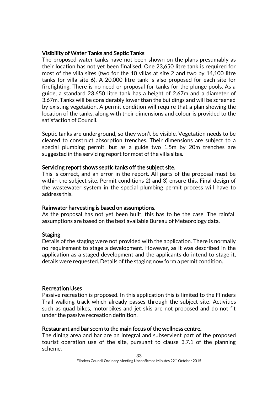#### Visibility of Water Tanks and Septic Tanks

The proposed water tanks have not been shown on the plans presumably as their location has not yet been finalised. One 23,650 litre tank is required for most of the villa sites (two for the 10 villas at site 2 and two by 14,100 litre tanks for villa site 6). A 20,000 litre tank is also proposed for each site for firefighting. There is no need or proposal for tanks for the plunge pools. As a guide, a standard 23,650 litre tank has a height of 2.67m and a diameter of 3.67m. Tanks will be considerably lower than the buildings and will be screened by existing vegetation. A permit condition will require that a plan showing the location of the tanks, along with their dimensions and colour is provided to the satisfaction of Council.

Septic tanks are underground, so they won't be visible. Vegetation needs to be cleared to construct absorption trenches. Their dimensions are subject to a special plumbing permit, but as a guide two 1.5m by 20m trenches are suggested in the servicing report for most of the villa sites.

#### Servicing report shows septic tanks off the subject site.

This is correct, and an error in the report. All parts of the proposal must be within the subject site. Permit conditions 2) and 3) ensure this. Final design of the wastewater system in the special plumbing permit process will have to address this.

## Rainwater harvesting is based on assumptions.

As the proposal has not yet been built, this has to be the case. The rainfall assumptions are based on the best available Bureau of Meteorology data.

## Staging

Details of the staging were not provided with the application. There is normally no requirement to stage a development. However, as it was described in the application as a staged development and the applicants do intend to stage it, details were requested. Details of the staging now form a permit condition.

## Recreation Uses

Passive recreation is proposed. In this application this is limited to the Flinders Trail walking track which already passes through the subject site. Activities such as quad bikes, motorbikes and jet skis are not proposed and do not fit under the passive recreation definition.

#### Restaurant and bar seem to the main focus of the wellness centre.

The dining area and bar are an integral and subservient part of the proposed tourist operation use of the site, pursuant to clause 3.7.1 of the planning scheme.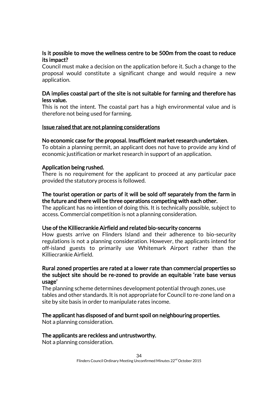## Is it possible to move the wellness centre to be 500m from the coast to reduce its impact?

Council must make a decision on the application before it. Such a change to the proposal would constitute a significant change and would require a new application.

#### DA implies coastal part of the site is not suitable for farming and therefore has less value.

This is not the intent. The coastal part has a high environmental value and is therefore not being used for farming.

#### Issue raised that are not planning considerations

#### No economic case for the proposal. Insufficient market research undertaken.

To obtain a planning permit, an applicant does not have to provide any kind of economic justification or market research in support of an application.

#### Application being rushed.

There is no requirement for the applicant to proceed at any particular pace provided the statutory process is followed.

#### The tourist operation or parts of it will be sold off separately from the farm in the future and there will be three operations competing with each other.

The applicant has no intention of doing this. It is technically possible, subject to access. Commercial competition is not a planning consideration.

#### Use of the Killiecrankie Airfield and related bio-security concerns

How guests arrive on Flinders Island and their adherence to bio-security regulations is not a planning consideration. However, the applicants intend for off-island guests to primarily use Whitemark Airport rather than the Killiecrankie Airfield.

#### Rural zoned properties are rated at a lower rate than commercial properties so the subject site should be re-zoned to provide an equitable 'rate base versus usage'

The planning scheme determines development potential through zones, use tables and other standards. It is not appropriate for Council to re-zone land on a site by site basis in order to manipulate rates income.

## The applicant has disposed of and burnt spoil on neighbouring properties.

Not a planning consideration.

#### The applicants are reckless and untrustworthy.

Not a planning consideration.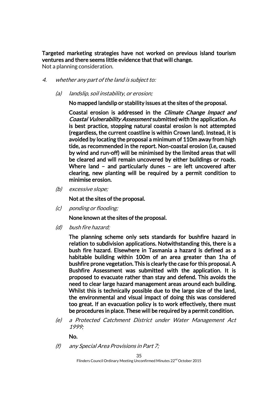Targeted marketing strategies have not worked on previous island tourism ventures and there seems little evidence that that will change.

Not a planning consideration.

- 4. whether any part of the land is subject to:
	- (a) landslip, soil instability, or erosion;

No mapped landslip or stability issues at the sites of the proposal.

Coastal erosion is addressed in the Climate Change Impact and Coastal Vulnerability Assessment submitted with the application. As is best practice, stopping natural coastal erosion is not attempted (regardless, the current coastline is within Crown land). Instead, it is avoided by locating the proposal a minimum of 110m away from high tide, as recommended in the report. Non-coastal erosion (i.e, caused by wind and run-off) will be minimised by the limited areas that will be cleared and will remain uncovered by either buildings or roads. Where land – and particularly dunes – are left uncovered after clearing, new planting will be required by a permit condition to minimise erosion.

(b) excessive slope;

Not at the sites of the proposal.

(c) ponding or flooding;

None known at the sites of the proposal.

(d) bush fire hazard;

The planning scheme only sets standards for bushfire hazard in relation to subdivision applications. Notwithstanding this, there is a bush fire hazard. Elsewhere in Tasmania a hazard is defined as a habitable building within 100m of an area greater than 1ha of bushfire prone vegetation. This is clearly the case for this proposal. A Bushfire Assessment was submitted with the application. It is proposed to evacuate rather than stay and defend. This avoids the need to clear large hazard management areas around each building. Whilst this is technically possible due to the large size of the land, the environmental and visual impact of doing this was considered too great. If an evacuation policy is to work effectively, there must be procedures in place. These will be required by a permit condition.

(e) a Protected Catchment District under Water Management Act 1999;

No.

(f) any Special Area Provisions in Part 7;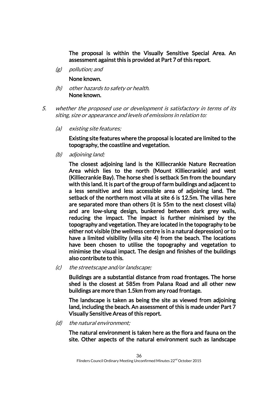The proposal is within the Visually Sensitive Special Area. An assessment against this is provided at Part 7 of this report.

(g) pollution; and

None known.

- (h) other hazards to safety or health. None known.
- 5. whether the proposed use or development is satisfactory in terms of its siting, size or appearance and levels of emissions in relation to:
	- (a) existing site features;

Existing site features where the proposal is located are limited to the topography, the coastline and vegetation.

(b) adjoining land;

The closest adjoining land is the Killiecrankie Nature Recreation Area which lies to the north (Mount Killiecrankie) and west (Killiecrankie Bay). The horse shed is setback 5m from the boundary with this land. It is part of the group of farm buildings and adjacent to a less sensitive and less accessible area of adjoining land. The setback of the northern most villa at site 6 is 12.5m. The villas here are separated more than others (it is 55m to the next closest villa) and are low-slung design, bunkered between dark grey walls, reducing the impact. The impact is further minimised by the topography and vegetation. They are located in the topography to be either not visible (the wellness centre is in a natural depression) or to have a limited visibility (villa site 4) from the beach. The locations have been chosen to utilise the topography and vegetation to minimise the visual impact. The design and finishes of the buildings also contribute to this.

(c) the streetscape and/or landscape;

Buildings are a substantial distance from road frontages. The horse shed is the closest at 585m from Palana Road and all other new buildings are more than 1.5km from any road frontage.

The landscape is taken as being the site as viewed from adjoining land, including the beach. An assessment of this is made under Part 7 Visually Sensitive Areas of this report.

(d) the natural environment;

The natural environment is taken here as the flora and fauna on the site. Other aspects of the natural environment such as landscape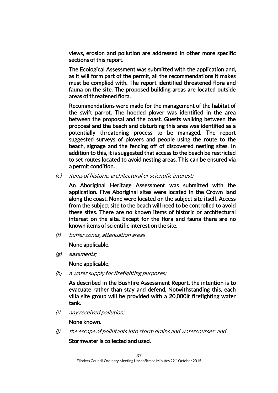views, erosion and pollution are addressed in other more specific sections of this report.

The Ecological Assessment was submitted with the application and, as it will form part of the permit, all the recommendations it makes must be complied with. The report identified threatened flora and fauna on the site. The proposed building areas are located outside areas of threatened flora.

Recommendations were made for the management of the habitat of the swift parrot. The hooded plover was identified in the area between the proposal and the coast. Guests walking between the proposal and the beach and disturbing this area was identified as a potentially threatening process to be managed. The report suggested surveys of plovers and people using the route to the beach, signage and the fencing off of discovered nesting sites. In addition to this, it is suggested that access to the beach be restricted to set routes located to avoid nesting areas. This can be ensured via a permit condition.

(e) items of historic, architectural or scientific interest;

An Aboriginal Heritage Assessment was submitted with the application. Five Aboriginal sites were located in the Crown land along the coast. None were located on the subject site itself. Access from the subject site to the beach will need to be controlled to avoid these sites. There are no known items of historic or architectural interest on the site. Except for the flora and fauna there are no known items of scientific interest on the site.

(f) buffer zones, attenuation areas

None applicable.

(g) easements;

None applicable.

(h) a water supply for firefighting purposes;

As described in the Bushfire Assessment Report, the intention is to evacuate rather than stay and defend. Notwithstanding this, each villa site group will be provided with a 20,000lt firefighting water tank.

(i) any received pollution;

None known.

(j) the escape of pollutants into storm drains and watercourses: and

Stormwater is collected and used.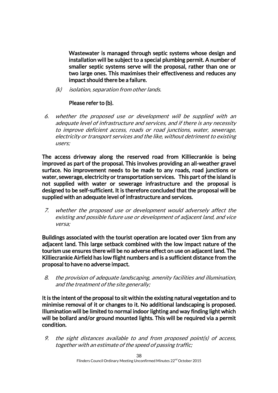Wastewater is managed through septic systems whose design and installation will be subject to a special plumbing permit. A number of smaller septic systems serve will the proposal, rather than one or two large ones. This maximises their effectiveness and reduces any impact should there be a failure.

(k) isolation, separation from other lands.

# Please refer to (b).

6. whether the proposed use or development will be supplied with an adequate level of infrastructure and services, and if there is any necessity to improve deficient access, roads or road junctions, water, sewerage, electricity or transport services and the like, without detriment to existing users;

The access driveway along the reserved road from Killiecrankie is being improved as part of the proposal. This involves providing an all-weather gravel surface. No improvement needs to be made to any roads, road junctions or water, sewerage, electricity or transportation services. This part of the island is not supplied with water or sewerage infrastructure and the proposal is designed to be self-sufficient. It is therefore concluded that the proposal will be supplied with an adequate level of infrastructure and services.

7. whether the proposed use or development would adversely affect the existing and possible future use or development of adjacent land, and vice versa;

Buildings associated with the tourist operation are located over 1km from any adjacent land. This large setback combined with the low impact nature of the tourism use ensures there will be no adverse effect on use on adjacent land. The Killiecrankie Airfield has low flight numbers and is a sufficient distance from the proposal to have no adverse impact.

8. the provision of adequate landscaping, amenity facilities and illumination, and the treatment of the site generally;

It is the intent of the proposal to sit within the existing natural vegetation and to minimise removal of it or changes to it. No additional landscaping is proposed. Illumination will be limited to normal indoor lighting and way finding light which will be bollard and/or ground mounted lights. This will be required via a permit condition.

9. the sight distances available to and from proposed point(s) of access, together with an estimate of the speed of passing traffic;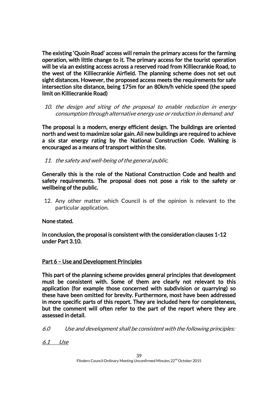The existing 'Quoin Road' access will remain the primary access for the farming operation, with little change to it. The primary access for the tourist operation will be via an existing access across a reserved road from Killiecrankie Road, to the west of the Killiecrankie Airfield. The planning scheme does not set out sight distances. However, the proposed access meets the requirements for safe intersection site distance, being 175m for an 80km/h vehicle speed (the speed limit on Killiecrankie Road)

10. the design and siting of the proposal to enable reduction in energy consumption through alternative energy use or reduction in demand; and

The proposal is a modern, energy efficient design. The buildings are oriented north and west to maximize solar gain. All new buildings are required to achieve a six star energy rating by the National Construction Code. Walking is encouraged as a means of transport within the site.

11. the safety and well-being of the general public.

Generally this is the role of the National Construction Code and health and safety requirements. The proposal does not pose a risk to the safety or wellbeing of the public.

12. Any other matter which Council is of the opinion is relevant to the particular application.

None stated.

In conclusion, the proposal is consistent with the consideration clauses 1-12 under Part 3.10.

# Part 6 – Use and Development Principles

This part of the planning scheme provides general principles that development must be consistent with. Some of them are clearly not relevant to this application (for example those concerned with subdivision or quarrying) so these have been omitted for brevity. Furthermore, most have been addressed in more specific parts of this report. They are included here for completeness, but the comment will often refer to the part of the report where they are assessed in detail.

6.0 Use and development shall be consistent with the following principles:

6.1 Use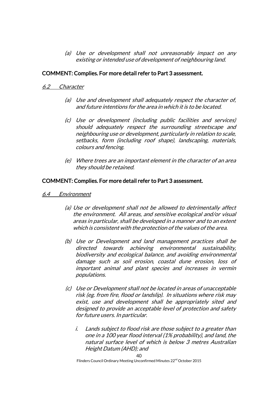(a) Use or development shall not unreasonably impact on any existing or intended use of development of neighbouring land.

#### COMMENT: Complies. For more detail refer to Part 3 assessment.

#### 6.2 Character

- (a) Use and development shall adequately respect the character of, and future intentions for the area in which it is to be located.
- (c) Use or development (including public facilities and services) should adequately respect the surrounding streetscape and neighbouring use or development, particularly in relation to scale, setbacks, form (including roof shape), landscaping, materials, colours and fencing.
- (e) Where trees are an important element in the character of an area they should be retained.

#### COMMENT: Complies. For more detail refer to Part 3 assessment.

- 6.4 Environment
	- (a) Use or development shall not be allowed to detrimentally affect the environment. All areas, and sensitive ecological and/or visual areas in particular, shall be developed in a manner and to an extent which is consistent with the protection of the values of the area.
	- (b) Use or Development and land management practices shall be directed towards achieving environmental sustainability, biodiversity and ecological balance, and avoiding environmental damage such as soil erosion, coastal dune erosion, loss of important animal and plant species and increases in vermin populations.
	- (c) Use or Development shall not be located in areas of unacceptable risk (eg. from fire, flood or landslip). In situations where risk may exist, use and development shall be appropriately sited and designed to provide an acceptable level of protection and safety for future users. In particular.
		- i. Lands subject to flood risk are those subject to a greater than one in a 100 year flood interval (1% probability), and land, the natural surface level of which is below 3 metres Australian Height Datum (AHD); and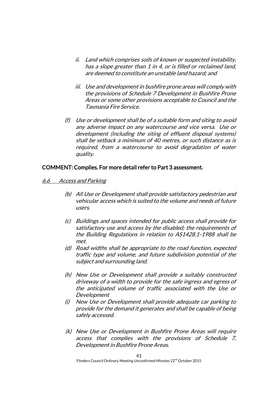- ii. Land which comprises soils of known or suspected instability, has a slope greater than 1 in 4, or is filled or reclaimed land, are deemed to constitute an unstable land hazard; and
- iii. Use and development in bushfire prone areas will comply with the provisions of Schedule 7 Development in Bushfire Prone Areas or some other provisions acceptable to Council and the Tasmania Fire Service.
- (f) Use or development shall be of a suitable form and siting to avoid any adverse impact on any watercourse and vice versa. Use or development (including the siting of effluent disposal systems) shall be setback a minimum of 40 metres, or such distance as is required, from a watercourse to avoid degradation of water quality.

#### COMMENT: Complies. For more detail refer to Part 3 assessment.

- 6.6 Access and Parking
	- (b) All Use or Development shall provide satisfactory pedestrian and vehicular access which is suited to the volume and needs of future users.
	- (c) Buildings and spaces intended for public access shall provide for satisfactory use and access by the disabled; the requirements of the Building Regulations in relation to AS1428.1-1988 shall be met.
	- (d) Road widths shall be appropriate to the road function, expected traffic type and volume, and future subdivision potential of the subject and surrounding land.
	- (h) New Use or Development shall provide a suitably constructed driveway of a width to provide for the safe ingress and egress of the anticipated volume of traffic associated with the Use or Development
	- (i) New Use or Development shall provide adequate car parking to provide for the demand it generates and shall be capable of being safely accessed.
	- (k) New Use or Development in Bushfire Prone Areas will require access that complies with the provisions of Schedule 7, Development in Bushfire Prone Areas.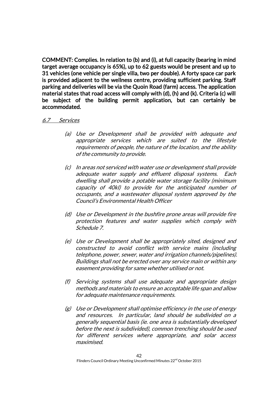COMMENT: Complies. In relation to (b) and (i), at full capacity (bearing in mind target average occupancy is 65%), up to 62 guests would be present and up to 31 vehicles (one vehicle per single villa, two per double). A forty space car park is provided adjacent to the wellness centre, providing sufficient parking. Staff parking and deliveries will be via the Quoin Road (farm) access. The application material states that road access will comply with (d), (h) and (k). Criteria (c) will be subject of the building permit application, but can certainly be accommodated.

#### 6.7 Services

- (a) Use or Development shall be provided with adequate and appropriate services which are suited to the lifestyle requirements of people, the nature of the location, and the ability of the community to provide.
- (c) In areas not serviced with water use or development shall provide adequate water supply and effluent disposal systems. Each dwelling shall provide a potable water storage facility (minimum capacity of 40kl) to provide for the anticipated number of occupants, and a wastewater disposal system approved by the Council's Environmental Health Officer
- (d) Use or Development in the bushfire prone areas will provide fire protection features and water supplies which comply with Schedule 7.
- (e) Use or Development shall be appropriately sited, designed and constructed to avoid conflict with service mains (including telephone, power, sewer, water and irrigation channels/pipelines). Buildings shall not be erected over any service main or within any easement providing for same whether utilised or not.
- (f) Servicing systems shall use adequate and appropriate design methods and materials to ensure an acceptable life span and allow for adequate maintenance requirements.
- (g) Use or Development shall optimise efficiency in the use of energy and resources. In particular, land should be subdivided on a generally sequential basis (ie. one area is substantially developed before the next is subdivided), common trenching should be used for different services where appropriate, and solar access maximised.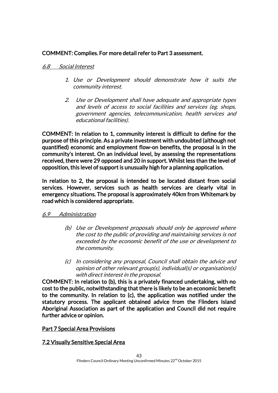# COMMENT: Complies. For more detail refer to Part 3 assessment.

### 6.8 Social Interest

- 1. Use or Development should demonstrate how it suits the community interest.
- 2. Use or Development shall have adequate and appropriate types and levels of access to social facilities and services (eg. shops, government agencies, telecommunication, health services and educational facilities).

COMMENT: In relation to 1, community interest is difficult to define for the purpose of this principle. As a private investment with undoubted (although not quantified) economic and employment flow-on benefits, the proposal is in the community's interest. On an individual level, by assessing the representations received, there were 29 opposed and 20 in support. Whilst less than the level of opposition, this level of support is unusually high for a planning application.

In relation to 2, the proposal is intended to be located distant from social services. However, services such as health services are clearly vital in emergency situations. The proposal is approximately 40km from Whitemark by road which is considered appropriate.

#### 6.9 Administration

- (b) Use or Development proposals should only be approved where the cost to the public of providing and maintaining services is not exceeded by the economic benefit of the use or development to the community.
- (c) In considering any proposal, Council shall obtain the advice and opinion of other relevant group(s), individual(s) or organisation(s) with direct interest in the proposal.

COMMENT: In relation to (b), this is a privately financed undertaking, with no cost to the public, notwithstanding that there is likely to be an economic benefit to the community. In relation to (c), the application was notified under the statutory process. The applicant obtained advice from the Flinders Island Aboriginal Association as part of the application and Council did not require further advice or opinion.

#### Part 7 Special Area Provisions

#### 7.2 Visually Sensitive Special Area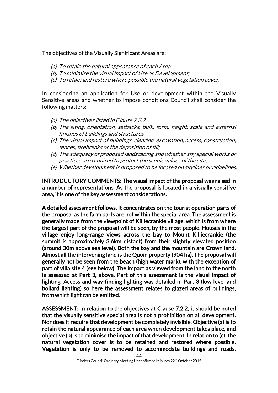The objectives of the Visually Significant Areas are:

- (a) To retain the natural appearance of each Area;
- (b) To minimise the visual impact of Use or Development;
- (c) To retain and restore where possible the natural vegetation cover.

In considering an application for Use or development within the Visually Sensitive areas and whether to impose conditions Council shall consider the following matters:

- (a) The objectives listed in Clause 7.2.2
- (b) The siting, orientation, setbacks, bulk, form, height, scale and external finishes of buildings and structures
- (c) The visual impact of buildings, clearing, excavation, access, construction, fences, firebreaks or the deposition of fill;
- (d) The adequacy of proposed landscaping and whether any special works or practices are required to protect the scenic values of the site;
- (e) Whether development is proposed to be located on skylines or ridgelines.

INTRODUCTORY COMMENTS: The visual impact of the proposal was raised in a number of representations. As the proposal is located in a visually sensitive area, it is one of the key assessment considerations.

A detailed assessment follows. It concentrates on the tourist operation parts of the proposal as the farm parts are not within the special area. The assessment is generally made from the viewpoint of Killiecrankie village, which is from where the largest part of the proposal will be seen, by the most people. Houses in the village enjoy long-range views across the bay to Mount Killiecrankie (the summit is approximately 3.6km distant) from their slightly elevated position (around 30m above sea level). Both the bay and the mountain are Crown land. Almost all the intervening land is the Quoin property (904 ha). The proposal will generally not be seen from the beach (high water mark), with the exception of part of villa site 4 (see below). The impact as viewed from the land to the north is assessed at Part 3, above. Part of this assessment is the visual impact of lighting. Access and way-finding lighting was detailed in Part 3 (low level and bollard lighting) so here the assessment relates to glazed areas of buildings, from which light can be emitted.

ASSESSMENT: In relation to the objectives at Clause 7.2.2, it should be noted that the visually sensitive special area is not a prohibition on all development. Nor does it require that development be completely invisible. Objective (a) is to retain the natural appearance of each area when development takes place, and objective (b) is to minimise the impact of that development. In relation to (c), the natural vegetation cover is to be retained and restored where possible. Vegetation is only to be removed to accommodate buildings and roads.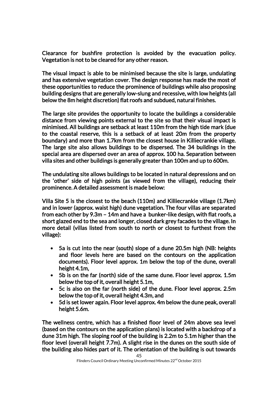Clearance for bushfire protection is avoided by the evacuation policy. Vegetation is not to be cleared for any other reason.

The visual impact is able to be minimised because the site is large, undulating and has extensive vegetation cover. The design response has made the most of these opportunities to reduce the prominence of buildings while also proposing building designs that are generally low-slung and recessive, with low heights (all below the 8m height discretion) flat roofs and subdued, natural finishes.

The large site provides the opportunity to locate the buildings a considerable distance from viewing points external to the site so that their visual impact is minimised. All buildings are setback at least 110m from the high tide mark (due to the coastal reserve, this is a setback of at least 20m from the property boundary) and more than 1.7km from the closest house in Killiecrankie village. The large site also allows buildings to be dispersed. The 34 buildings in the special area are dispersed over an area of approx. 100 ha. Separation between villa sites and other buildings is generally greater than 100m and up to 600m.

The undulating site allows buildings to be located in natural depressions and on the 'other' side of high points (as viewed from the village), reducing their prominence. A detailed assessment is made below:

Villa Site 5 is the closest to the beach (110m) and Killiecrankie village (1.7km) and in lower (approx. waist high) dune vegetation. The four villas are separated from each other by 9.3m – 14m and have a bunker-like design, with flat roofs, a short glazed end to the sea and longer, closed dark grey facades to the village. In more detail (villas listed from south to north or closest to furthest from the village):

- 5a is cut into the near (south) slope of a dune 20.5m high (NB: heights and floor levels here are based on the contours on the application documents). Floor level approx. 1m below the top of the dune, overall height 4.1m,
- 5b is on the far (north) side of the same dune. Floor level approx. 1.5m below the top of it, overall height 5.1m,
- 5c is also on the far (north side) of the dune. Floor level approx. 2.5m below the top of it, overall height 4.3m, and
- 5d is set lower again. Floor level approx. 4m below the dune peak, overall height 5.6m.

The wellness centre, which has a finished floor level of 24m above sea level (based on the contours on the application plans) is located with a backdrop of a dune 31m high. The sloping roof of the building is 2.2m to 5.1m higher than the floor level (overall height 7.7m). A slight rise in the dunes on the south side of the building also hides part of it. The orientation of the building is out towards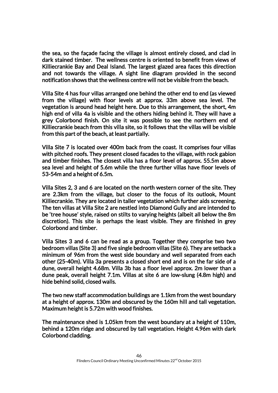the sea, so the façade facing the village is almost entirely closed, and clad in dark stained timber. The wellness centre is oriented to benefit from views of Killiecrankie Bay and Deal Island. The largest glazed area faces this direction and not towards the village. A sight line diagram provided in the second notification shows that the wellness centre will not be visible from the beach.

Villa Site 4 has four villas arranged one behind the other end to end (as viewed from the village) with floor levels at approx. 33m above sea level. The vegetation is around head height here. Due to this arrangement, the short, 4m high end of villa 4a is visible and the others hiding behind it. They will have a grey Colorbond finish. On site it was possible to see the northern end of Killiecrankie beach from this villa site, so it follows that the villas will be visible from this part of the beach, at least partially.

Villa Site 7 is located over 400m back from the coast. It comprises four villas with pitched roofs. They present closed facades to the village, with rock gabion and timber finishes. The closest villa has a floor level of approx. 55.5m above sea level and height of 5.6m while the three further villas have floor levels of 53-54m and a height of 6.5m.

Villa Sites 2, 3 and 6 are located on the north western corner of the site. They are 2.3km from the village, but closer to the focus of its outlook, Mount Killiecrankie. They are located in taller vegetation which further aids screening. The ten villas at Villa Site 2 are nestled into Diamond Gully and are intended to be 'tree house' style, raised on stilts to varying heights (albeit all below the 8m discretion). This site is perhaps the least visible. They are finished in grey Colorbond and timber.

Villa Sites 3 and 6 can be read as a group. Together they comprise two two bedroom villas (Site 3) and five single bedroom villas (Site 6). They are setback a minimum of 96m from the west side boundary and well separated from each other (25-40m). Villa 3a presents a closed short end and is on the far side of a dune, overall height 4.68m. Villa 3b has a floor level approx. 2m lower than a dune peak, overall height 7.1m. Villas at site 6 are low-slung (4.8m high) and hide behind solid, closed walls.

The two new staff accommodation buildings are 1.1km from the west boundary at a height of approx. 130m and obscured by the 160m hill and tall vegetation. Maximum height is 5.72m with wood finishes.

The maintenance shed is 1.05km from the west boundary at a height of 110m, behind a 120m ridge and obscured by tall vegetation. Height 4.96m with dark Colorbond cladding.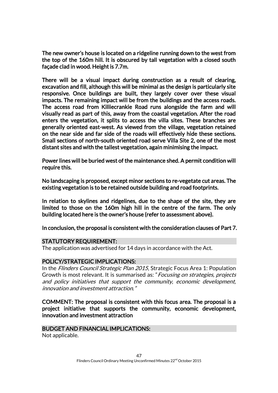The new owner's house is located on a ridgeline running down to the west from the top of the 160m hill. It is obscured by tall vegetation with a closed south façade clad in wood. Height is 7.7m.

There will be a visual impact during construction as a result of clearing, excavation and fill, although this will be minimal as the design is particularly site responsive. Once buildings are built, they largely cover over these visual impacts. The remaining impact will be from the buildings and the access roads. The access road from Killiecrankie Road runs alongside the farm and will visually read as part of this, away from the coastal vegetation. After the road enters the vegetation, it splits to access the villa sites. These branches are generally oriented east-west. As viewed from the village, vegetation retained on the near side and far side of the roads will effectively hide these sections. Small sections of north-south oriented road serve Villa Site 2, one of the most distant sites and with the tallest vegetation, again minimising the impact.

Power lines will be buried west of the maintenance shed. A permit condition will require this.

No landscaping is proposed, except minor sections to re-vegetate cut areas. The existing vegetation is to be retained outside building and road footprints.

In relation to skylines and ridgelines, due to the shape of the site, they are limited to those on the 160m high hill in the centre of the farm. The only building located here is the owner's house (refer to assessment above).

In conclusion, the proposal is consistent with the consideration clauses of Part 7.

#### STATUTORY REQUIREMENT:

The application was advertised for 14 days in accordance with the Act.

#### POLICY/STRATEGIC IMPLICATIONS:

In the Flinders Council Strategic Plan 2015, Strategic Focus Area 1: Population Growth is most relevant. It is summarised as: "Focusing on strategies, projects and policy initiatives that support the community, economic development, innovation and investment attraction."

COMMENT: The proposal is consistent with this focus area. The proposal is a project initiative that supports the community, economic development, innovation and investment attraction

#### BUDGET AND FINANCIAL IMPLICATIONS:

Not applicable.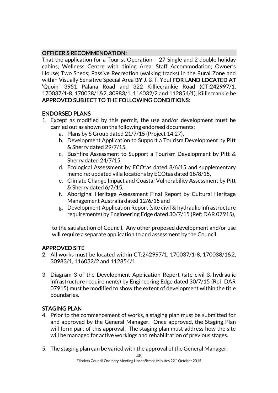# OFFICER'S RECOMMENDATION:

That the application for a Tourist Operation – 27 Single and 2 double holiday cabins; Wellness Centre with dining Area; Staff Accommodation; Owner's House; Two Sheds; Passive Recreation (walking tracks) in the Rural Zone and within Visually Sensitive Special Area BY J. & T. Youl FOR LAND LOCATED AT 'Quoin' 3951 Palana Road and 322 Killiecrankie Road (CT:242997/1, 170037/1-8, 170038/1&2, 30983/1, 116032/2 and 112854/1), Killiecrankie be APPROVED SUBJECT TO THE FOLLOWING CONDITIONS:

# ENDORSED PLANS

- 1. Except as modified by this permit, the use and/or development must be carried out as shown on the following endorsed documents:
	- a. Plans by S Group dated 21/7/15 (Project 14.27),
	- b. Development Application to Support a Tourism Development by Pitt & Sherry dated 29/7/15,
	- c. Bushfire Assessment to Support a Tourism Development by Pitt & Sherry dated 24/7/15,
	- d. Ecological Assessment by ECOtas dated 8/6/15 and supplementary memo re: updated villa locations by ECOtas dated 18/8/15,
	- e. Climate Change Impact and Coastal Vulnerability Assessment by Pitt & Sherry dated 6/7/15,
	- f. Aboriginal Heritage Assessment Final Report by Cultural Heritage Management Australia dated 12/6/15 and
	- g. Development Application Report (site civil & hydraulic infrastructure requirements) by Engineering Edge dated 30/7/15 (Ref: DAR 07915),

to the satisfaction of Council. Any other proposed development and/or use will require a separate application to and assessment by the Council.

# APPROVED SITE

- 2. All works must be located within CT:242997/1, 170037/1-8, 170038/1&2, 30983/1, 116032/2 and 112854/1.
- 3. Diagram 3 of the Development Application Report (site civil & hydraulic infrastructure requirements) by Engineering Edge dated 30/7/15 (Ref: DAR 07915) must be modified to show the extent of development within the title boundaries.

# STAGING PLAN

- 4. Prior to the commencement of works, a staging plan must be submitted for and approved by the General Manager. Once approved, the Staging Plan will form part of this approval. The staging plan must address how the site will be managed for active workings and rehabilitation of previous stages.
- 5. The staging plan can be varied with the approval of the General Manager.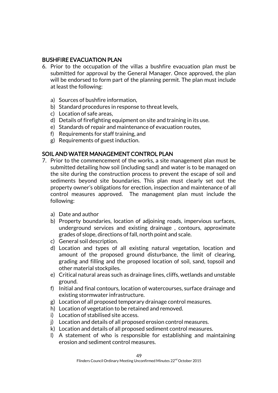### BUSHFIRE EVACUATION PLAN

- 6. Prior to the occupation of the villas a bushfire evacuation plan must be submitted for approval by the General Manager. Once approved, the plan will be endorsed to form part of the planning permit. The plan must include at least the following:
	- a) Sources of bushfire information,
	- b) Standard procedures in response to threat levels,
	- c) Location of safe areas,
	- d) Details of firefighting equipment on site and training in its use.
	- e) Standards of repair and maintenance of evacuation routes,
	- f) Requirements for staff training, and
	- g) Requirements of guest induction.

# SOIL AND WATER MANAGEMENT CONTROL PLAN

- 7. Prior to the commencement of the works, a site management plan must be submitted detailing how soil (including sand) and water is to be managed on the site during the construction process to prevent the escape of soil and sediments beyond site boundaries. This plan must clearly set out the property owner's obligations for erection, inspection and maintenance of all control measures approved. The management plan must include the following:
	- a) Date and author
	- b) Property boundaries, location of adjoining roads, impervious surfaces, underground services and existing drainage , contours, approximate grades of slope, directions of fall, north point and scale.
	- c) General soil description.
	- d) Location and types of all existing natural vegetation, location and amount of the proposed ground disturbance, the limit of clearing, grading and filling and the proposed location of soil, sand, topsoil and other material stockpiles.
	- e) Critical natural areas such as drainage lines, cliffs, wetlands and unstable ground.
	- f) Initial and final contours, location of watercourses, surface drainage and existing stormwater infrastructure.
	- g) Location of all proposed temporary drainage control measures.
	- h) Location of vegetation to be retained and removed.
	- i) Location of stabilised site access.
	- j) Location and details of all proposed erosion control measures.
	- k) Location and details of all proposed sediment control measures.
	- l) A statement of who is responsible for establishing and maintaining erosion and sediment control measures.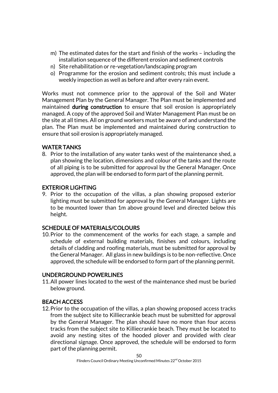- m) The estimated dates for the start and finish of the works including the installation sequence of the different erosion and sediment controls
- n) Site rehabilitation or re-vegetation/landscaping program
- o) Programme for the erosion and sediment controls; this must include a weekly inspection as well as before and after every rain event.

Works must not commence prior to the approval of the Soil and Water Management Plan by the General Manager. The Plan must be implemented and maintained **during construction** to ensure that soil erosion is appropriately managed. A copy of the approved Soil and Water Management Plan must be on the site at all times. All on ground workers must be aware of and understand the plan. The Plan must be implemented and maintained during construction to ensure that soil erosion is appropriately managed.

# WATER TANKS

8. Prior to the installation of any water tanks west of the maintenance shed, a plan showing the location, dimensions and colour of the tanks and the route of all piping is to be submitted for approval by the General Manager. Once approved, the plan will be endorsed to form part of the planning permit.

# EXTERIOR LIGHTING

9. Prior to the occupation of the villas, a plan showing proposed exterior lighting must be submitted for approval by the General Manager. Lights are to be mounted lower than 1m above ground level and directed below this height.

# SCHEDULE OF MATERIALS/COLOURS

10.Prior to the commencement of the works for each stage, a sample and schedule of external building materials, finishes and colours, including details of cladding and roofing materials, must be submitted for approval by the General Manager. All glass in new buildings is to be non-reflective. Once approved, the schedule will be endorsed to form part of the planning permit.

# UNDERGROUND POWERLINES

11.All power lines located to the west of the maintenance shed must be buried below ground.

# BEACH ACCESS

12.Prior to the occupation of the villas, a plan showing proposed access tracks from the subject site to Killiecrankie beach must be submitted for approval by the General Manager. The plan should have no more than four access tracks from the subject site to Killiecrankie beach. They must be located to avoid any nesting sites of the hooded plover and provided with clear directional signage. Once approved, the schedule will be endorsed to form part of the planning permit.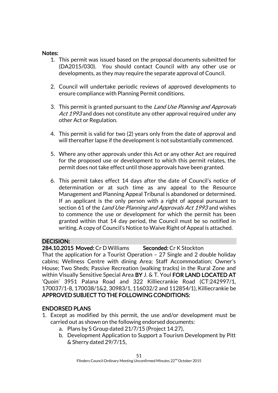### Notes:

- 1. This permit was issued based on the proposal documents submitted for (DA2015/030). You should contact Council with any other use or developments, as they may require the separate approval of Council.
- 2. Council will undertake periodic reviews of approved developments to ensure compliance with Planning Permit conditions.
- 3. This permit is granted pursuant to the Land Use Planning and Approvals Act 1993 and does not constitute any other approval required under any other Act or Regulation.
- 4. This permit is valid for two (2) years only from the date of approval and will thereafter lapse if the development is not substantially commenced.
- 5. Where any other approvals under this Act or any other Act are required for the proposed use or development to which this permit relates, the permit does not take effect until those approvals have been granted.
- 6. This permit takes effect 14 days after the date of Council's notice of determination or at such time as any appeal to the Resource Management and Planning Appeal Tribunal is abandoned or determined. If an applicant is the only person with a right of appeal pursuant to section 61 of the Land Use Planning and Approvals Act 1993 and wishes to commence the use or development for which the permit has been granted within that 14 day period, the Council must be so notified in writing. A copy of Council's Notice to Waive Right of Appeal is attached.

# DECISION:

# 284.10.2015 Moved: Cr D Williams Seconded: Cr K Stockton

That the application for a Tourist Operation – 27 Single and 2 double holiday cabins; Wellness Centre with dining Area; Staff Accommodation; Owner's House; Two Sheds; Passive Recreation (walking tracks) in the Rural Zone and within Visually Sensitive Special Area BY J. & T. Youl FOR LAND LOCATED AT 'Quoin' 3951 Palana Road and 322 Killiecrankie Road (CT:242997/1, 170037/1-8, 170038/1&2, 30983/1, 116032/2 and 112854/1), Killiecrankie be APPROVED SUBJECT TO THE FOLLOWING CONDITIONS:

# ENDORSED PLANS

- 1. Except as modified by this permit, the use and/or development must be carried out as shown on the following endorsed documents:
	- a. Plans by S Group dated 21/7/15 (Project 14.27),
	- b. Development Application to Support a Tourism Development by Pitt & Sherry dated 29/7/15,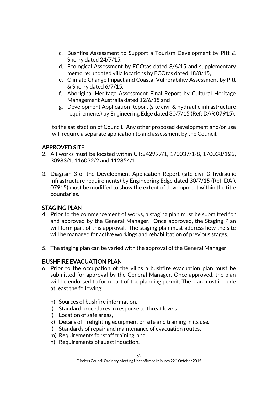- c. Bushfire Assessment to Support a Tourism Development by Pitt & Sherry dated 24/7/15,
- d. Ecological Assessment by ECOtas dated 8/6/15 and supplementary memo re: updated villa locations by ECOtas dated 18/8/15,
- e. Climate Change Impact and Coastal Vulnerability Assessment by Pitt & Sherry dated 6/7/15,
- f. Aboriginal Heritage Assessment Final Report by Cultural Heritage Management Australia dated 12/6/15 and
- g. Development Application Report (site civil & hydraulic infrastructure requirements) by Engineering Edge dated 30/7/15 (Ref: DAR 07915),

to the satisfaction of Council. Any other proposed development and/or use will require a separate application to and assessment by the Council.

# APPROVED SITE

- 2. All works must be located within CT:242997/1, 170037/1-8, 170038/1&2, 30983/1, 116032/2 and 112854/1.
- 3. Diagram 3 of the Development Application Report (site civil & hydraulic infrastructure requirements) by Engineering Edge dated 30/7/15 (Ref: DAR 07915) must be modified to show the extent of development within the title boundaries.

# STAGING PLAN

- 4. Prior to the commencement of works, a staging plan must be submitted for and approved by the General Manager. Once approved, the Staging Plan will form part of this approval. The staging plan must address how the site will be managed for active workings and rehabilitation of previous stages.
- 5. The staging plan can be varied with the approval of the General Manager.

# BUSHFIRE EVACUATION PLAN

- 6. Prior to the occupation of the villas a bushfire evacuation plan must be submitted for approval by the General Manager. Once approved, the plan will be endorsed to form part of the planning permit. The plan must include at least the following:
	- h) Sources of bushfire information,
	- i) Standard procedures in response to threat levels,
	- j) Location of safe areas,
	- k) Details of firefighting equipment on site and training in its use.
	- l) Standards of repair and maintenance of evacuation routes,
	- m) Requirements for staff training, and
	- n) Requirements of guest induction.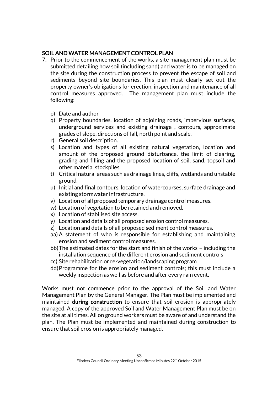# SOIL AND WATER MANAGEMENT CONTROL PLAN

- 7. Prior to the commencement of the works, a site management plan must be submitted detailing how soil (including sand) and water is to be managed on the site during the construction process to prevent the escape of soil and sediments beyond site boundaries. This plan must clearly set out the property owner's obligations for erection, inspection and maintenance of all control measures approved. The management plan must include the following:
	- p) Date and author
	- q) Property boundaries, location of adjoining roads, impervious surfaces, underground services and existing drainage , contours, approximate grades of slope, directions of fall, north point and scale.
	- r) General soil description.
	- s) Location and types of all existing natural vegetation, location and amount of the proposed ground disturbance, the limit of clearing, grading and filling and the proposed location of soil, sand, topsoil and other material stockpiles.
	- t) Critical natural areas such as drainage lines, cliffs, wetlands and unstable ground.
	- u) Initial and final contours, location of watercourses, surface drainage and existing stormwater infrastructure.
	- v) Location of all proposed temporary drainage control measures.
	- w) Location of vegetation to be retained and removed.
	- x) Location of stabilised site access.
	- y) Location and details of all proposed erosion control measures.
	- z) Location and details of all proposed sediment control measures.
	- aa) A statement of who is responsible for establishing and maintaining erosion and sediment control measures.
	- bb)The estimated dates for the start and finish of the works including the installation sequence of the different erosion and sediment controls
	- cc) Site rehabilitation or re-vegetation/landscaping program
	- dd)Programme for the erosion and sediment controls; this must include a weekly inspection as well as before and after every rain event.

Works must not commence prior to the approval of the Soil and Water Management Plan by the General Manager. The Plan must be implemented and maintained during construction to ensure that soil erosion is appropriately managed. A copy of the approved Soil and Water Management Plan must be on the site at all times. All on ground workers must be aware of and understand the plan. The Plan must be implemented and maintained during construction to ensure that soil erosion is appropriately managed.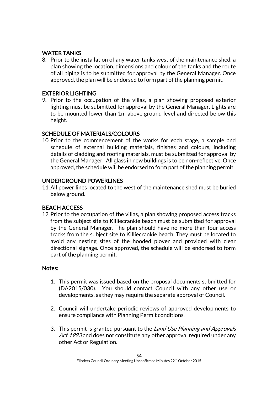# WATER TANKS

8. Prior to the installation of any water tanks west of the maintenance shed, a plan showing the location, dimensions and colour of the tanks and the route of all piping is to be submitted for approval by the General Manager. Once approved, the plan will be endorsed to form part of the planning permit.

# EXTERIOR LIGHTING

9. Prior to the occupation of the villas, a plan showing proposed exterior lighting must be submitted for approval by the General Manager. Lights are to be mounted lower than 1m above ground level and directed below this height.

# SCHEDULE OF MATERIALS/COLOURS

10.Prior to the commencement of the works for each stage, a sample and schedule of external building materials, finishes and colours, including details of cladding and roofing materials, must be submitted for approval by the General Manager. All glass in new buildings is to be non-reflective. Once approved, the schedule will be endorsed to form part of the planning permit.

# UNDERGROUND POWERLINES

11.All power lines located to the west of the maintenance shed must be buried below ground.

# BEACH ACCESS

12.Prior to the occupation of the villas, a plan showing proposed access tracks from the subject site to Killiecrankie beach must be submitted for approval by the General Manager. The plan should have no more than four access tracks from the subject site to Killiecrankie beach. They must be located to avoid any nesting sites of the hooded plover and provided with clear directional signage. Once approved, the schedule will be endorsed to form part of the planning permit.

# Notes:

- 1. This permit was issued based on the proposal documents submitted for (DA2015/030). You should contact Council with any other use or developments, as they may require the separate approval of Council.
- 2. Council will undertake periodic reviews of approved developments to ensure compliance with Planning Permit conditions.
- 3. This permit is granted pursuant to the Land Use Planning and Approvals Act 1993 and does not constitute any other approval required under any other Act or Regulation.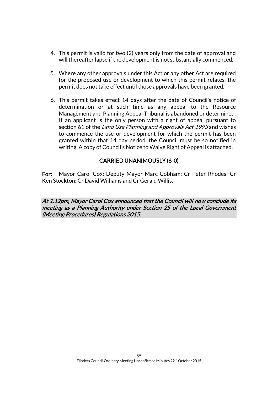- 4. This permit is valid for two (2) years only from the date of approval and will thereafter lapse if the development is not substantially commenced.
- 5. Where any other approvals under this Act or any other Act are required for the proposed use or development to which this permit relates, the permit does not take effect until those approvals have been granted.
- 6. This permit takes effect 14 days after the date of Council's notice of determination or at such time as any appeal to the Resource Management and Planning Appeal Tribunal is abandoned or determined. If an applicant is the only person with a right of appeal pursuant to section 61 of the Land Use Planning and Approvals Act 1993 and wishes to commence the use or development for which the permit has been granted within that 14 day period, the Council must be so notified in writing. A copy of Council's Notice to Waive Right of Appeal is attached.

# CARRIED UNANIMOUSLY (6-0)

For: Mayor Carol Cox; Deputy Mayor Marc Cobham; Cr Peter Rhodes; Cr Ken Stockton; Cr David Williams and Cr Gerald Willis.

At 1.12pm, Mayor Carol Cox announced that the Council will now conclude its meeting as a Planning Authority under Section 25 of the Local Government (Meeting Procedures) Regulations 2015.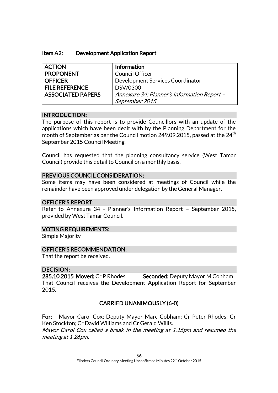| <b>ACTION</b>            | Information                                 |
|--------------------------|---------------------------------------------|
| <b>PROPONENT</b>         | <b>Council Officer</b>                      |
| <b>OFFICER</b>           | Development Services Coordinator            |
| <b>FILE REFERENCE</b>    | DSV/0300                                    |
| <b>ASSOCIATED PAPERS</b> | Annexure 34: Planner's Information Report - |
|                          | September 2015                              |

### INTRODUCTION:

The purpose of this report is to provide Councillors with an update of the applications which have been dealt with by the Planning Department for the month of September as per the Council motion 249.09.2015, passed at the  $24<sup>th</sup>$ September 2015 Council Meeting.

Council has requested that the planning consultancy service (West Tamar Council) provide this detail to Council on a monthly basis.

### PREVIOUS COUNCIL CONSIDERATION:

Some items may have been considered at meetings of Council while the remainder have been approved under delegation by the General Manager.

# OFFICER'S REPORT:

Refer to Annexure 34 - Planner's Information Report – September 2015, provided by West Tamar Council.

#### VOTING REQUIREMENTS:

Simple Majority

# OFFICER'S RECOMMENDATION:

That the report be received.

# DECISION:

285.10.2015 Moved: Cr P Rhodes Seconded: Deputy Mayor M Cobham That Council receives the Development Application Report for September 2015.

# CARRIED UNANIMOUSLY (6-0)

For: Mayor Carol Cox; Deputy Mayor Marc Cobham; Cr Peter Rhodes; Cr Ken Stockton; Cr David Williams and Cr Gerald Willis. Mayor Carol Cox called a break in the meeting at 1.15pm and resumed the meeting at 1.26pm.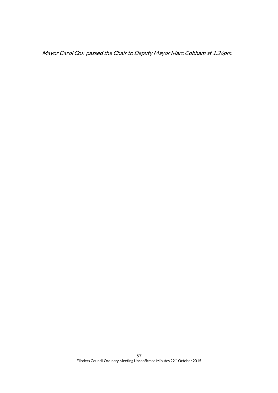Mayor Carol Cox passed the Chair to Deputy Mayor Marc Cobham at 1.26pm.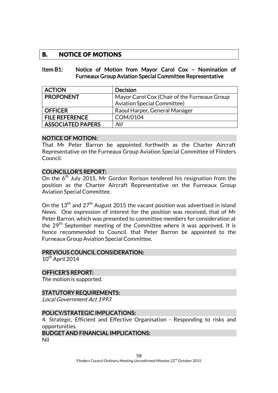# **B. NOTICE OF MOTIONS**

#### Item B1: Notice of Motion from Mayor Carol Cox – Nomination of Furneaux Group Aviation Special Committee Representative

| <b>ACTION</b>            | <b>Decision</b>                              |
|--------------------------|----------------------------------------------|
| <b>PROPONENT</b>         | Mayor Carol Cox (Chair of the Furneaux Group |
|                          | <b>Aviation Special Committee)</b>           |
| <b>OFFICER</b>           | Raoul Harper, General Manager                |
| <b>FILE REFERENCE</b>    | COM/0104                                     |
| <b>ASSOCIATED PAPERS</b> | Nil                                          |

#### NOTICE OF MOTION:

That Mr Peter Barron be appointed forthwith as the Charter Aircraft Representative on the Furneaux Group Aviation Special Committee of Flinders Council.

#### COUNCILLOR'S REPORT:

On the 6<sup>th</sup> July 2015, Mr Gordon Rorison tendered his resignation from the position as the Charter Aircraft Representative on the Furneaux Group Aviation Special Committee.

On the  $13<sup>th</sup>$  and  $27<sup>th</sup>$  August 2015 the vacant position was advertised in Island News. One expression of interest for the position was received, that of Mr Peter Barron, which was presented to committee members for consideration at the  $29<sup>th</sup>$  September meeting of the Committee where it was approved. It is hence recommended to Council, that Peter Barron be appointed to the Furneaux Group Aviation Special Committee.

#### PREVIOUS COUNCIL CONSIDERATION:

 $10^{th}$  April 2014

#### OFFICER'S REPORT:

The motion is supported.

#### STATUTORY REQUIREMENTS:

Local Government Act 1993

#### POLICY/STRATEGIC IMPLICATIONS:

4. Strategic, Efficient and Effective Organisation - Responding to risks and opportunities.

### BUDGET AND FINANCIAL IMPLICATIONS:

Nil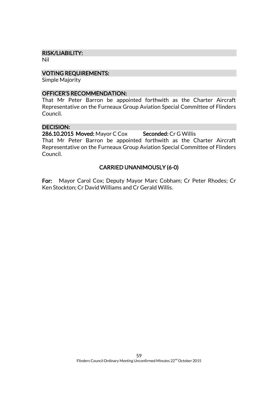#### RISK/LIABILITY:

Nil

#### VOTING REQUIREMENTS:

Simple Majority

#### OFFICER'S RECOMMENDATION:

That Mr Peter Barron be appointed forthwith as the Charter Aircraft Representative on the Furneaux Group Aviation Special Committee of Flinders Council.

#### DECISION:

Council.

286.10.2015 Moved: Mayor C Cox Seconded: Cr G Willis That Mr Peter Barron be appointed forthwith as the Charter Aircraft Representative on the Furneaux Group Aviation Special Committee of Flinders

# CARRIED UNANIMOUSLY (6-0)

For: Mayor Carol Cox; Deputy Mayor Marc Cobham; Cr Peter Rhodes; Cr Ken Stockton; Cr David Williams and Cr Gerald Willis.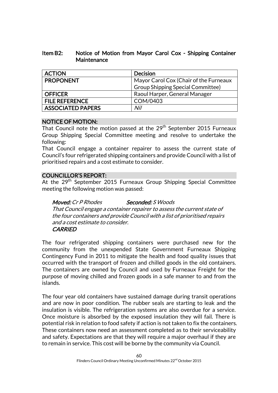### Item B2: Notice of Motion from Mayor Carol Cox - Shipping Container **Maintenance**

| <b>ACTION</b>            | <b>Decision</b>                          |  |
|--------------------------|------------------------------------------|--|
| <b>PROPONENT</b>         | Mayor Carol Cox (Chair of the Furneaux   |  |
|                          | <b>Group Shipping Special Committee)</b> |  |
| <b>OFFICER</b>           | Raoul Harper, General Manager            |  |
| <b>FILE REFERENCE</b>    | COM/0403                                 |  |
| <b>ASSOCIATED PAPERS</b> | Nil                                      |  |

# NOTICE OF MOTION:

That Council note the motion passed at the 29<sup>th</sup> September 2015 Furneaux Group Shipping Special Committee meeting and resolve to undertake the following:

That Council engage a container repairer to assess the current state of Council's four refrigerated shipping containers and provide Council with a list of prioritised repairs and a cost estimate to consider.

# COUNCILLOR'S REPORT:

At the 29<sup>th</sup> September 2015 Furneaux Group Shipping Special Committee meeting the following motion was passed:

Moved: Cr P Rhodes Seconded: S Woods That Council engage a container repairer to assess the current state of the four containers and provide Council with a list of prioritised repairs and a cost estimate to consider. **CARRIED** 

The four refrigerated shipping containers were purchased new for the community from the unexpended State Government Furneaux Shipping Contingency Fund in 2011 to mitigate the health and food quality issues that occurred with the transport of frozen and chilled goods in the old containers. The containers are owned by Council and used by Furneaux Freight for the purpose of moving chilled and frozen goods in a safe manner to and from the islands.

The four year old containers have sustained damage during transit operations and are now in poor condition. The rubber seals are starting to leak and the insulation is visible. The refrigeration systems are also overdue for a service. Once moisture is absorbed by the exposed insulation they will fail. There is potential risk in relation to food safety if action is not taken to fix the containers. These containers now need an assessment completed as to their serviceability and safety. Expectations are that they will require a major overhaul if they are to remain in service. This cost will be borne by the community via Council.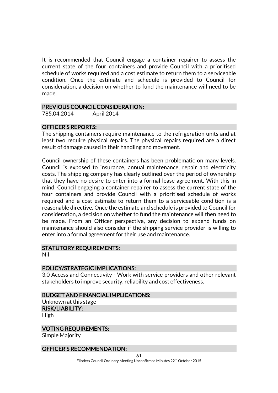It is recommended that Council engage a container repairer to assess the current state of the four containers and provide Council with a prioritised schedule of works required and a cost estimate to return them to a serviceable condition. Once the estimate and schedule is provided to Council for consideration, a decision on whether to fund the maintenance will need to be made.

#### PREVIOUS COUNCIL CONSIDERATION:

785.04.2014 April 2014

#### OFFICER'S REPORTS:

The shipping containers require maintenance to the refrigeration units and at least two require physical repairs. The physical repairs required are a direct result of damage caused in their handling and movement.

Council ownership of these containers has been problematic on many levels. Council is exposed to insurance, annual maintenance, repair and electricity costs. The shipping company has clearly outlined over the period of ownership that they have no desire to enter into a formal lease agreement. With this in mind, Council engaging a container repairer to assess the current state of the four containers and provide Council with a prioritised schedule of works required and a cost estimate to return them to a serviceable condition is a reasonable directive. Once the estimate and schedule is provided to Council for consideration, a decision on whether to fund the maintenance will then need to be made. From an Officer perspective, any decision to expend funds on maintenance should also consider if the shipping service provider is willing to enter into a formal agreement for their use and maintenance.

### STATUTORY REQUIREMENTS:

Nil

#### POLICY/STRATEGIC IMPLICATIONS:

3.0 Access and Connectivity - Work with service providers and other relevant stakeholders to improve security, reliability and cost effectiveness.

#### BUDGET AND FINANCIAL IMPLICATIONS:

Unknown at this stage RISK/LIABILITY:

High

#### VOTING REQUIREMENTS:

Simple Majority

#### OFFICER'S RECOMMENDATION: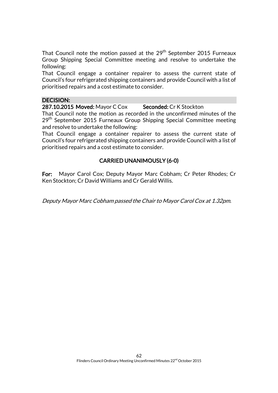That Council note the motion passed at the  $29<sup>th</sup>$  September 2015 Furneaux Group Shipping Special Committee meeting and resolve to undertake the following:

That Council engage a container repairer to assess the current state of Council's four refrigerated shipping containers and provide Council with a list of prioritised repairs and a cost estimate to consider.

#### DECISION:

287.10.2015 Moved: Mayor C Cox Seconded: Cr K Stockton

That Council note the motion as recorded in the unconfirmed minutes of the 29<sup>th</sup> September 2015 Furneaux Group Shipping Special Committee meeting and resolve to undertake the following:

That Council engage a container repairer to assess the current state of Council's four refrigerated shipping containers and provide Council with a list of prioritised repairs and a cost estimate to consider.

# CARRIED UNANIMOUSLY (6-0)

For: Mayor Carol Cox; Deputy Mayor Marc Cobham; Cr Peter Rhodes; Cr Ken Stockton; Cr David Williams and Cr Gerald Willis.

Deputy Mayor Marc Cobham passed the Chair to Mayor Carol Cox at 1.32pm.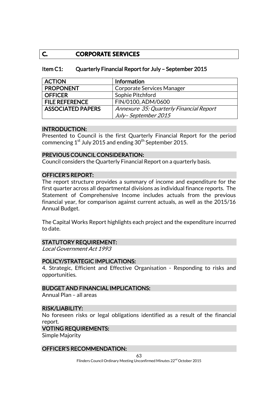# **C. CORPORATE SERVICES**

### Item C1: Quarterly Financial Report for July – September 2015

| <b>ACTION</b>            | Information                             |
|--------------------------|-----------------------------------------|
| <b>PROPONENT</b>         | Corporate Services Manager              |
| <b>OFFICER</b>           | Sophie Pitchford                        |
| <b>FILE REFERENCE</b>    | FIN/0100, ADM/0600                      |
| <b>ASSOCIATED PAPERS</b> | Annexure 35: Quarterly Financial Report |
|                          | July-September 2015                     |

#### INTRODUCTION:

Presented to Council is the first Quarterly Financial Report for the period commencing  $1^{st}$  July 2015 and ending  $30^{th}$  September 2015.

#### PREVIOUS COUNCIL CONSIDERATION:

Council considers the Quarterly Financial Report on a quarterly basis.

#### OFFICER'S REPORT:

The report structure provides a summary of income and expenditure for the first quarter across all departmental divisions as individual finance reports. The Statement of Comprehensive Income includes actuals from the previous financial year, for comparison against current actuals, as well as the 2015/16 Annual Budget.

The Capital Works Report highlights each project and the expenditure incurred to date.

#### STATUTORY REQUIREMENT:

Local Government Act 1993

#### POLICY/STRATEGIC IMPLICATIONS:

4. Strategic, Efficient and Effective Organisation - Responding to risks and opportunities.

#### BUDGET AND FINANCIAL IMPLICATIONS:

Annual Plan – all areas

#### RISK/LIABILITY:

No foreseen risks or legal obligations identified as a result of the financial report.

#### VOTING REQUIREMENTS:

Simple Majority

#### OFFICER'S RECOMMENDATION: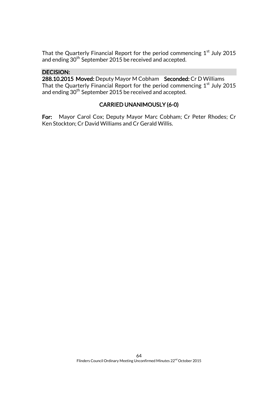That the Quarterly Financial Report for the period commencing  $1<sup>st</sup>$  July 2015 and ending 30<sup>th</sup> September 2015 be received and accepted.

# DECISION:

288.10.2015 Moved: Deputy Mayor M Cobham Seconded: Cr D Williams That the Quarterly Financial Report for the period commencing  $1<sup>st</sup>$  July 2015 and ending 30th September 2015 be received and accepted.

# CARRIED UNANIMOUSLY (6-0)

For: Mayor Carol Cox; Deputy Mayor Marc Cobham; Cr Peter Rhodes; Cr Ken Stockton; Cr David Williams and Cr Gerald Willis.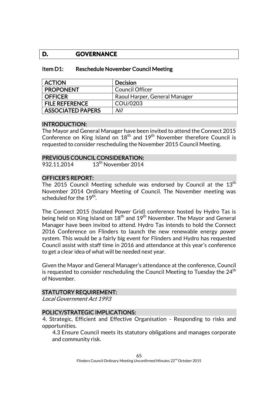# **D. GOVERNANCE**

| Item D1: | <b>Reschedule November Council Meeting</b> |
|----------|--------------------------------------------|
|----------|--------------------------------------------|

| <b>ACTION</b>         | Decision                      |
|-----------------------|-------------------------------|
| <b>PROPONENT</b>      | Council Officer               |
| <b>OFFICER</b>        | Raoul Harper, General Manager |
| <b>FILE REFERENCE</b> | COU/0203                      |
| ASSOCIATED PAPERS     | Nil                           |

### INTRODUCTION:

The Mayor and General Manager have been invited to attend the Connect 2015 Conference on King Island on  $18<sup>th</sup>$  and  $19<sup>th</sup>$  November therefore Council is requested to consider rescheduling the November 2015 Council Meeting.

#### PREVIOUS COUNCIL CONSIDERATION:

932.11.2014 13<sup>th</sup> November 2014

### OFFICER'S REPORT:

The 2015 Council Meeting schedule was endorsed by Council at the  $13<sup>th</sup>$ November 2014 Ordinary Meeting of Council. The November meeting was scheduled for the 19<sup>th</sup>.

The Connect 2015 (Isolated Power Grid) conference hosted by Hydro Tas is being held on King Island on  $18<sup>th</sup>$  and  $19<sup>th</sup>$  November. The Mayor and General Manager have been invited to attend. Hydro Tas intends to hold the Connect 2016 Conference on Flinders to launch the new renewable energy power system. This would be a fairly big event for Flinders and Hydro has requested Council assist with staff time in 2016 and attendance at this year's conference to get a clear idea of what will be needed next year.

Given the Mayor and General Manager's attendance at the conference, Council is requested to consider rescheduling the Council Meeting to Tuesday the 24 $^{\rm th}$ of November.

#### STATUTORY REQUIREMENT:

Local Government Act 1993

#### POLICY/STRATEGIC IMPLICATIONS:

4. Strategic, Efficient and Effective Organisation - Responding to risks and opportunities.

4.3 Ensure Council meets its statutory obligations and manages corporate and community risk.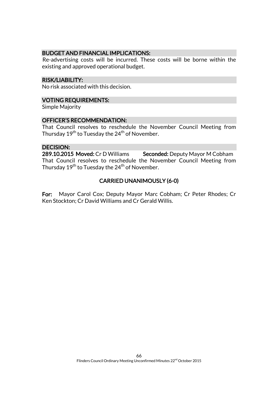### BUDGET AND FINANCIAL IMPLICATIONS:

Re-advertising costs will be incurred. These costs will be borne within the existing and approved operational budget.

#### RISK/LIABILITY:

No risk associated with this decision.

#### VOTING REQUIREMENTS:

Simple Majority

### OFFICER'S RECOMMENDATION:

That Council resolves to reschedule the November Council Meeting from Thursday 19 $^{\rm th}$  to Tuesday the 24 $^{\rm th}$  of November.

#### DECISION:

289.10.2015 Moved: Cr D Williams Seconded: Deputy Mayor M Cobham That Council resolves to reschedule the November Council Meeting from Thursday 19 $^{\rm th}$  to Tuesday the 24 $^{\rm th}$  of November.

# CARRIED UNANIMOUSLY (6-0)

For: Mayor Carol Cox; Deputy Mayor Marc Cobham; Cr Peter Rhodes; Cr Ken Stockton; Cr David Williams and Cr Gerald Willis.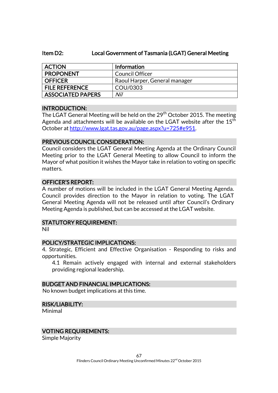#### Item D2: Local Government of Tasmania (LGAT) General Meeting

| <b>ACTION</b>            | <b>Information</b>            |
|--------------------------|-------------------------------|
| <b>PROPONENT</b>         | Council Officer               |
| <b>OFFICER</b>           | Raoul Harper, General manager |
| <b>FILE REFERENCE</b>    | COU/0303                      |
| <b>ASSOCIATED PAPERS</b> | Nil                           |

#### INTRODUCTION:

The LGAT General Meeting will be held on the 29<sup>th</sup> October 2015. The meeting Agenda and attachments will be available on the LGAT website after the  $15<sup>th</sup>$ October a[t http://www.lgat.tas.gov.au/page.aspx?u=725#e951.](http://www.lgat.tas.gov.au/page.aspx?u=725#e951)

#### PREVIOUS COUNCIL CONSIDERATION:

Council considers the LGAT General Meeting Agenda at the Ordinary Council Meeting prior to the LGAT General Meeting to allow Council to inform the Mayor of what position it wishes the Mayor take in relation to voting on specific matters.

### OFFICER'S REPORT:

A number of motions will be included in the LGAT General Meeting Agenda. Council provides direction to the Mayor in relation to voting. The LGAT General Meeting Agenda will not be released until after Council's Ordinary Meeting Agenda is published, but can be accessed at the LGAT website.

# STATUTORY REQUIREMENT:

Nil

#### POLICY/STRATEGIC IMPLICATIONS:

4. Strategic, Efficient and Effective Organisation - Responding to risks and opportunities.

4.1 Remain actively engaged with internal and external stakeholders providing regional leadership.

### BUDGET AND FINANCIAL IMPLICATIONS:

No known budget implications at this time.

#### RISK/LIABILITY:

Minimal

#### VOTING REQUIREMENTS:

Simple Majority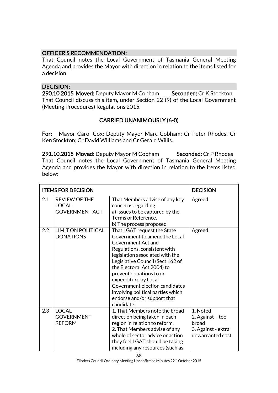# OFFICER'S RECOMMENDATION:

That Council notes the Local Government of Tasmania General Meeting Agenda and provides the Mayor with direction in relation to the items listed for a decision.

# DECISION:

290.10.2015 Moved: Deputy Mayor M Cobham Seconded: Cr K Stockton That Council discuss this item, under Section 22 (9) of the Local Government (Meeting Procedures) Regulations 2015.

# CARRIED UNANIMOUSLY (6-0)

For: Mayor Carol Cox; Deputy Mayor Marc Cobham; Cr Peter Rhodes; Cr Ken Stockton; Cr David Williams and Cr Gerald Willis.

291.10.2015 Moved: Deputy Mayor M Cobham Seconded: Cr P Rhodes That Council notes the Local Government of Tasmania General Meeting Agenda and provides the Mayor with direction in relation to the items listed below:

| <b>ITEMS FOR DECISION</b> |                                                               |                                                                                                                                                                                                                                                                                                                                                                                                | <b>DECISION</b>                                                                 |
|---------------------------|---------------------------------------------------------------|------------------------------------------------------------------------------------------------------------------------------------------------------------------------------------------------------------------------------------------------------------------------------------------------------------------------------------------------------------------------------------------------|---------------------------------------------------------------------------------|
| 2.1                       | <b>REVIEW OF THE</b><br><b>LOCAL</b><br><b>GOVERNMENT ACT</b> | That Members advise of any key<br>concerns regarding:<br>a) Issues to be captured by the<br>Terms of Reference.<br>b) The process proposed.                                                                                                                                                                                                                                                    | Agreed                                                                          |
| 2.2                       | <b>LIMIT ON POLITICAL</b><br><b>DONATIONS</b>                 | That LGAT request the State<br>Government to amend the Local<br>Government Act and<br>Regulations, consistent with<br>legislation associated with the<br>Legislative Council (Sect 162 of<br>the Electoral Act 2004) to<br>prevent donations to or<br>expenditure by Local<br>Government election candidates<br>involving political parties which<br>endorse and/or support that<br>candidate. | Agreed                                                                          |
| 2.3                       | <b>LOCAL</b><br><b>GOVERNMENT</b><br><b>REFORM</b>            | 1. That Members note the broad<br>direction being taken in each<br>region in relation to reform.<br>2. That Members advise of any<br>whole of sector advice or action<br>they feel LGAT should be taking<br>including any resources (such as                                                                                                                                                   | 1. Noted<br>2. Against - too<br>broad<br>3. Against - extra<br>unwarranted cost |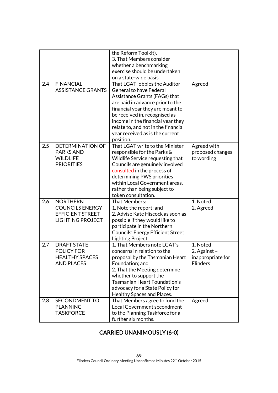|     |                          | the Reform Toolkit).                     |                   |
|-----|--------------------------|------------------------------------------|-------------------|
|     |                          | 3. That Members consider                 |                   |
|     |                          | whether a benchmarking                   |                   |
|     |                          | exercise should be undertaken            |                   |
|     |                          | on a state-wide basis.                   |                   |
| 2.4 | <b>FINANCIAL</b>         | That LGAT lobbies the Auditor            | Agreed            |
|     | <b>ASSISTANCE GRANTS</b> | <b>General to have Federal</b>           |                   |
|     |                          | Assistance Grants (FAGs) that            |                   |
|     |                          | are paid in advance prior to the         |                   |
|     |                          | financial year they are meant to         |                   |
|     |                          | be received in, recognised as            |                   |
|     |                          | income in the financial year they        |                   |
|     |                          | relate to, and not in the financial      |                   |
|     |                          | year received as is the current          |                   |
|     |                          | position.                                |                   |
| 2.5 | <b>DETERMINATION OF</b>  | That LGAT write to the Minister          | Agreed with       |
|     | <b>PARKS AND</b>         | responsible for the Parks &              | proposed changes  |
|     | <b>WILDLIFE</b>          | Wildlife Service requesting that         | to wording        |
|     | <b>PRIORITIES</b>        | Councils are genuinely involved          |                   |
|     |                          | consulted in the process of              |                   |
|     |                          | determining PWS priorities               |                   |
|     |                          | within Local Government areas.           |                   |
|     |                          | rather than being subject to             |                   |
|     |                          | token consultation.                      |                   |
| 2.6 | <b>NORTHERN</b>          | That Members:                            | 1. Noted          |
|     | <b>COUNCILS ENERGY</b>   | 1. Note the report; and                  | 2. Agreed         |
|     | <b>EFFICIENT STREET</b>  | 2. Advise Kate Hiscock as soon as        |                   |
|     | <b>LIGHTING PROJECT</b>  | possible if they would like to           |                   |
|     |                          | participate in the Northern              |                   |
|     |                          | <b>Councils' Energy Efficient Street</b> |                   |
|     |                          | Lighting Project.                        |                   |
| 2.7 | <b>DRAFT STATE</b>       | 1. That Members note LGAT's              | 1. Noted          |
|     | <b>POLICY FOR</b>        | concerns in relation to the              | 2. Against -      |
|     | <b>HEALTHY SPACES</b>    | proposal by the Tasmanian Heart          | inappropriate for |
|     | <b>AND PLACES</b>        | Foundation; and                          | <b>Flinders</b>   |
|     |                          | 2. That the Meeting determine            |                   |
|     |                          | whether to support the                   |                   |
|     |                          | <b>Tasmanian Heart Foundation's</b>      |                   |
|     |                          | advocacy for a State Policy for          |                   |
|     |                          | Healthy Spaces and Places.               |                   |
| 2.8 | SECONDMENT TO            | That Members agree to fund the           | Agreed            |
|     | <b>PLANNING</b>          | <b>Local Government secondment</b>       |                   |
|     | <b>TASKFORCE</b>         | to the Planning Taskforce for a          |                   |
|     |                          | further six months.                      |                   |

# CARRIED UNANIMOUSLY (6-0)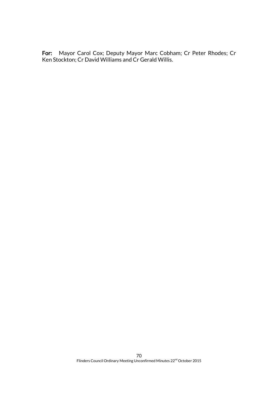For: Mayor Carol Cox; Deputy Mayor Marc Cobham; Cr Peter Rhodes; Cr Ken Stockton; Cr David Williams and Cr Gerald Willis.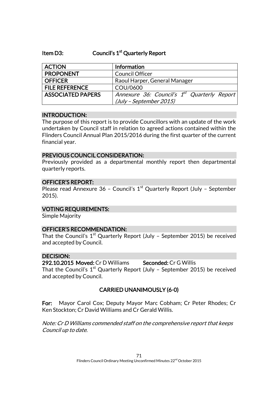### Item D3: Council's 1<sup>st</sup> Quarterly Report

| <b>ACTION</b>            | Information                                             |
|--------------------------|---------------------------------------------------------|
| <b>PROPONENT</b>         | <b>Council Officer</b>                                  |
| <b>OFFICER</b>           | Raoul Harper, General Manager                           |
| <b>FILE REFERENCE</b>    | COU/0600                                                |
| <b>ASSOCIATED PAPERS</b> | Annexure 36: Council's 1 <sup>st</sup> Quarterly Report |
|                          | (July - September 2015)                                 |

### INTRODUCTION:

The purpose of this report is to provide Councillors with an update of the work undertaken by Council staff in relation to agreed actions contained within the Flinders Council Annual Plan 2015/2016 during the first quarter of the current financial year.

### PREVIOUS COUNCIL CONSIDERATION:

Previously provided as a departmental monthly report then departmental quarterly reports.

### OFFICER'S REPORT:

Please read Annexure 36 - Council's  $1<sup>st</sup>$  Quarterly Report (July - September 2015).

# VOTING REQUIREMENTS:

Simple Majority

#### OFFICER'S RECOMMENDATION:

That the Council's  $1^\text{st}$  Quarterly Report (July - September 2015) be received and accepted by Council.

#### DECISION:

#### 292.10.2015 Moved: Cr D Williams Seconded: Cr G Willis

That the Council's  $1^\text{st}$  Quarterly Report (July - September 2015) be received and accepted by Council.

# CARRIED UNANIMOUSLY (6-0)

For: Mayor Carol Cox; Deputy Mayor Marc Cobham; Cr Peter Rhodes; Cr Ken Stockton; Cr David Williams and Cr Gerald Willis.

Note: Cr D Williams commended staff on the comprehensive report that keeps Council up to date.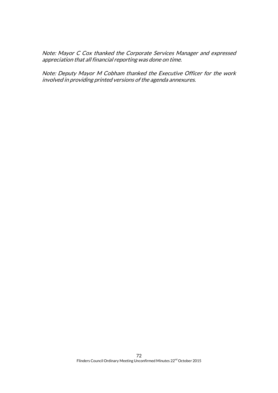Note: Mayor C Cox thanked the Corporate Services Manager and expressed appreciation that all financial reporting was done on time.

Note: Deputy Mayor M Cobham thanked the Executive Officer for the work involved in providing printed versions of the agenda annexures.